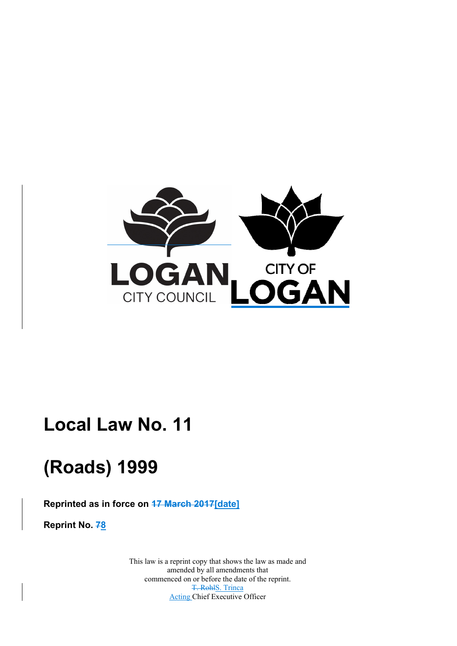

# **Local Law No. 11**

# **(Roads) 1999**

**Reprinted as in force on 17 March 2017[date]** 

**Reprint No. 78** 

 commenced on or before the date of the reprint. This law is a reprint copy that shows the law as made and amended by all amendments that T. RohlS. Trinca Acting Chief Executive Officer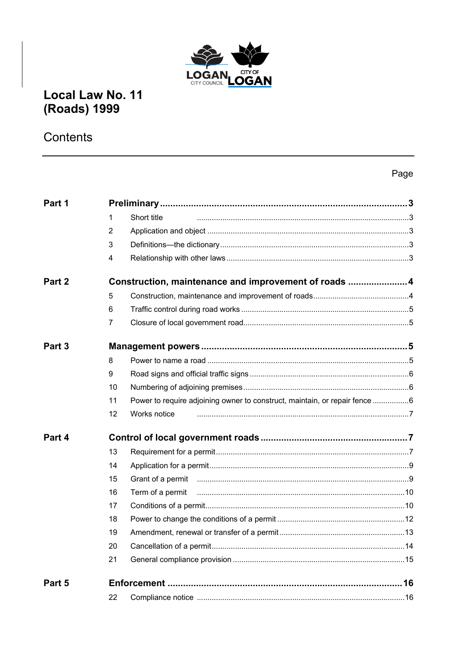

# Local Law No. 11 (Roads) 1999

# Contents

### Page

| Part 1 |                |                                                                            |  |
|--------|----------------|----------------------------------------------------------------------------|--|
|        | 1              | Short title                                                                |  |
|        | $\overline{2}$ |                                                                            |  |
|        | 3              |                                                                            |  |
|        | 4              |                                                                            |  |
| Part 2 |                | Construction, maintenance and improvement of roads 4                       |  |
|        | 5              |                                                                            |  |
|        | 6              |                                                                            |  |
|        | $\overline{7}$ |                                                                            |  |
| Part 3 |                |                                                                            |  |
|        | 8              |                                                                            |  |
|        | 9              |                                                                            |  |
|        | 10             |                                                                            |  |
|        | 11             | Power to require adjoining owner to construct, maintain, or repair fence 6 |  |
|        | 12             | Works notice                                                               |  |
| Part 4 |                |                                                                            |  |
|        | 13             |                                                                            |  |
|        | 14             |                                                                            |  |
|        | 15             |                                                                            |  |
|        | 16             |                                                                            |  |
|        | 17             |                                                                            |  |
|        | 18             |                                                                            |  |
|        | 19             |                                                                            |  |
|        | 20             |                                                                            |  |
|        | 21             |                                                                            |  |
| Part 5 |                |                                                                            |  |
|        | 22             |                                                                            |  |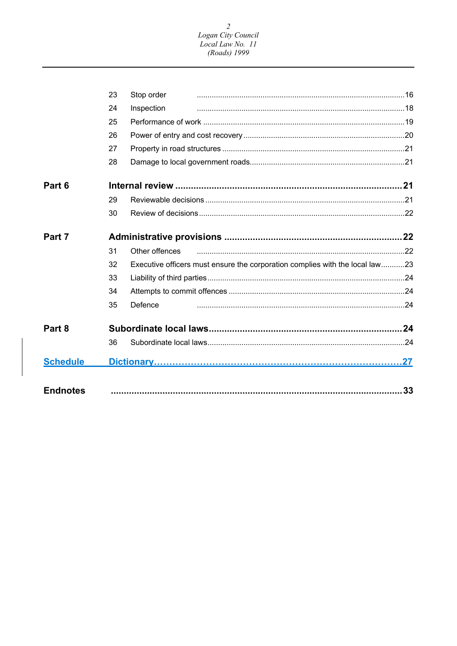# $\overline{c}$ Logan City Council<br>Local Law No. 11<br>(Roads) 1999

|                 | 23 | Stop order                                                                   |    |
|-----------------|----|------------------------------------------------------------------------------|----|
|                 | 24 | Inspection                                                                   |    |
|                 | 25 |                                                                              |    |
|                 | 26 |                                                                              |    |
|                 | 27 |                                                                              |    |
|                 | 28 |                                                                              |    |
| Part 6          |    |                                                                              |    |
|                 | 29 |                                                                              |    |
|                 | 30 |                                                                              |    |
| Part 7          |    |                                                                              |    |
|                 | 31 | Other offences                                                               |    |
|                 | 32 | Executive officers must ensure the corporation complies with the local law23 |    |
|                 | 33 |                                                                              |    |
|                 | 34 |                                                                              |    |
|                 | 35 | Defence                                                                      |    |
| Part 8          |    |                                                                              |    |
|                 | 36 |                                                                              |    |
| <b>Schedule</b> |    |                                                                              |    |
| <b>Endnotes</b> |    |                                                                              | 33 |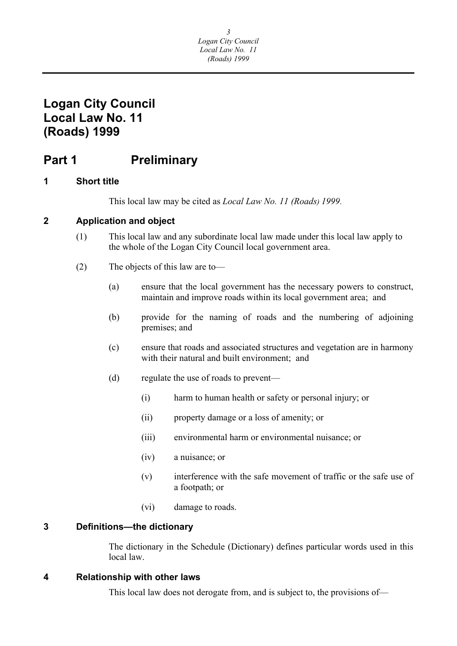# <span id="page-3-0"></span>**Logan City Council Local Law No. 11 (Roads) 1999**

# **Part 1** Preliminary

### **1 Short title**

This local law may be cited as *Local Law No. 11 (Roads) 1999*.

### **2 Application and object**

- (1) This local law and any subordinate local law made under this local law apply to the whole of the Logan City Council local government area.
- (2) The objects of this law are to—
	- (a) ensure that the local government has the necessary powers to construct, maintain and improve roads within its local government area; and
	- (b) provide for the naming of roads and the numbering of adjoining premises; and
	- (c) ensure that roads and associated structures and vegetation are in harmony with their natural and built environment; and
	- (d) regulate the use of roads to prevent—
		- (i) harm to human health or safety or personal injury; or
		- (ii) property damage or a loss of amenity; or
		- (iii) environmental harm or environmental nuisance; or
		- (iv) a nuisance; or
		- (v) interference with the safe movement of traffic or the safe use of a footpath; or
		- (vi) damage to roads.

#### **3 Definitions—the dictionary**

The dictionary in the Schedule (Dictionary) defines particular words used in this local law.

#### **4 Relationship with other laws**

This local law does not derogate from, and is subject to, the provisions of—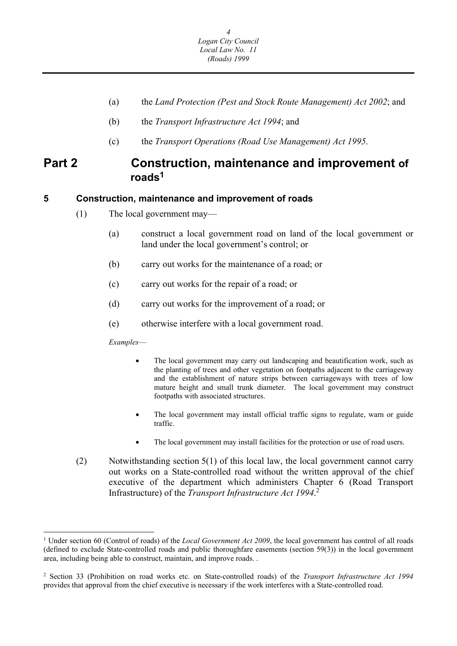- <span id="page-4-0"></span>(a) the *Land Protection (Pest and Stock Route Management) Act 2002*; and
- (b) the *Transport Infrastructure Act 1994*; and
- (c) the *Transport Operations (Road Use Management) Act 1995*.

### **Part 2 Construction, maintenance and improvement of roads<sup>1</sup>**

#### **5 Construction, maintenance and improvement of roads**

- (1) The local government may—
	- (a) construct a local government road on land of the local government or land under the local government's control; or
	- (b) carry out works for the maintenance of a road; or
	- (c) carry out works for the repair of a road; or
	- (d) carry out works for the improvement of a road; or
	- (e) otherwise interfere with a local government road.

*Examples*—

- The local government may carry out landscaping and beautification work, such as the planting of trees and other vegetation on footpaths adjacent to the carriageway and the establishment of nature strips between carriageways with trees of low mature height and small trunk diameter. The local government may construct footpaths with associated structures.
- The local government may install official traffic signs to regulate, warn or guide traffic.
- The local government may install facilities for the protection or use of road users.
- (2) Notwithstanding section 5(1) of this local law, the local government cannot carry out works on a State-controlled road without the written approval of the chief executive of the department which administers Chapter 6 (Road Transport Infrastructure) of the *Transport Infrastructure Act 1994*. 2

<sup>&</sup>lt;sup>1</sup> Under section 60 (Control of roads) of the *Local Government Act 2009*, the local government has control of all roads (defined to exclude State-controlled roads and public thoroughfare easements (section 59(3)) in the local government area, including being able to construct, maintain, and improve roads. .

<sup>2</sup> Section 33 (Prohibition on road works etc. on State-controlled roads) of the *Transport Infrastructure Act 1994*  provides that approval from the chief executive is necessary if the work interferes with a State-controlled road.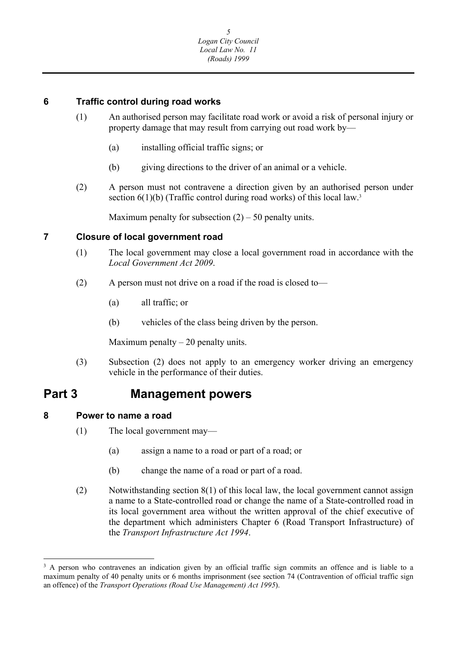### <span id="page-5-0"></span>**6 Traffic control during road works**

- (1) An authorised person may facilitate road work or avoid a risk of personal injury or property damage that may result from carrying out road work by—
	- (a) installing official traffic signs; or
	- (b) giving directions to the driver of an animal or a vehicle.
- (2) A person must not contravene a direction given by an authorised person under section  $6(1)(b)$  (Traffic control during road works) of this local law.<sup>3</sup>

Maximum penalty for subsection  $(2) - 50$  penalty units.

### **7 Closure of local government road**

- (1) The local government may close a local government road in accordance with the *Local Government Act 2009*.
- (2) A person must not drive on a road if the road is closed to—
	- (a) all traffic; or
	- (b) vehicles of the class being driven by the person.

Maximum penalty  $-20$  penalty units.

(3) Subsection (2) does not apply to an emergency worker driving an emergency vehicle in the performance of their duties.

### **Part 3 Management powers**

- **8 Power to name a road** 
	- (1) The local government may—
		- (a) assign a name to a road or part of a road; or
		- (b) change the name of a road or part of a road.
	- (2) Notwithstanding section 8(1) of this local law, the local government cannot assign a name to a State-controlled road or change the name of a State-controlled road in its local government area without the written approval of the chief executive of the department which administers Chapter 6 (Road Transport Infrastructure) of the *Transport Infrastructure Act 1994*.

<sup>&</sup>lt;sup>3</sup> A person who contravenes an indication given by an official traffic sign commits an offence and is liable to a maximum penalty of 40 penalty units or 6 months imprisonment (see section 74 (Contravention of official traffic sign an offence) of the *Transport Operations (Road Use Management) Act 1995*).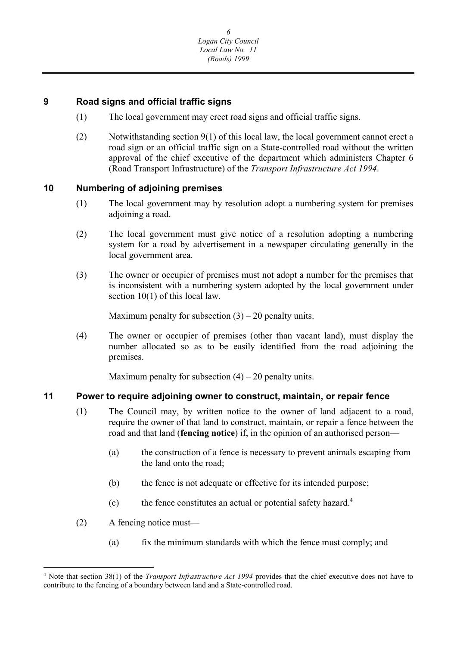### <span id="page-6-0"></span>**9 Road signs and official traffic signs**

- (1) The local government may erect road signs and official traffic signs.
- (2) Notwithstanding section 9(1) of this local law, the local government cannot erect a road sign or an official traffic sign on a State-controlled road without the written approval of the chief executive of the department which administers Chapter 6 (Road Transport Infrastructure) of the *Transport Infrastructure Act 1994*.

#### **10 Numbering of adjoining premises**

- (1) The local government may by resolution adopt a numbering system for premises adjoining a road.
- (2) The local government must give notice of a resolution adopting a numbering system for a road by advertisement in a newspaper circulating generally in the local government area.
- (3) The owner or occupier of premises must not adopt a number for the premises that is inconsistent with a numbering system adopted by the local government under section 10(1) of this local law.

Maximum penalty for subsection  $(3) - 20$  penalty units.

(4) The owner or occupier of premises (other than vacant land), must display the number allocated so as to be easily identified from the road adjoining the premises.

Maximum penalty for subsection  $(4) - 20$  penalty units.

#### **11 Power to require adjoining owner to construct, maintain, or repair fence**

- (1) The Council may, by written notice to the owner of land adjacent to a road, require the owner of that land to construct, maintain, or repair a fence between the road and that land (**fencing notice**) if, in the opinion of an authorised person—
	- (a) the construction of a fence is necessary to prevent animals escaping from the land onto the road;
	- (b) the fence is not adequate or effective for its intended purpose;
	- (c) the fence constitutes an actual or potential safety hazard.4
- (2) A fencing notice must—
	- (a) fix the minimum standards with which the fence must comply; and

 4 Note that section 38(1) of the *Transport Infrastructure Act 1994* provides that the chief executive does not have to contribute to the fencing of a boundary between land and a State-controlled road.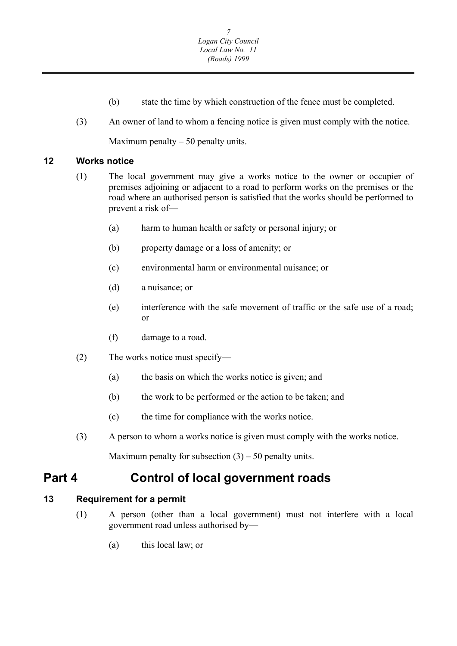- (b) state the time by which construction of the fence must be completed.
- <span id="page-7-0"></span>(3) An owner of land to whom a fencing notice is given must comply with the notice.

Maximum penalty  $-50$  penalty units.

### **12 Works notice**

- (1) The local government may give a works notice to the owner or occupier of premises adjoining or adjacent to a road to perform works on the premises or the road where an authorised person is satisfied that the works should be performed to prevent a risk of—
	- (a) harm to human health or safety or personal injury; or
	- (b) property damage or a loss of amenity; or
	- (c) environmental harm or environmental nuisance; or
	- (d) a nuisance; or
	- (e) interference with the safe movement of traffic or the safe use of a road; or
	- (f) damage to a road.
- (2) The works notice must specify—
	- (a) the basis on which the works notice is given; and
	- (b) the work to be performed or the action to be taken; and
	- (c) the time for compliance with the works notice.
- (3) A person to whom a works notice is given must comply with the works notice.

Maximum penalty for subsection  $(3) - 50$  penalty units.

## **Part 4 Control of local government roads**

### **13 Requirement for a permit**

- (1) A person (other than a local government) must not interfere with a local government road unless authorised by—
	- (a) this local law; or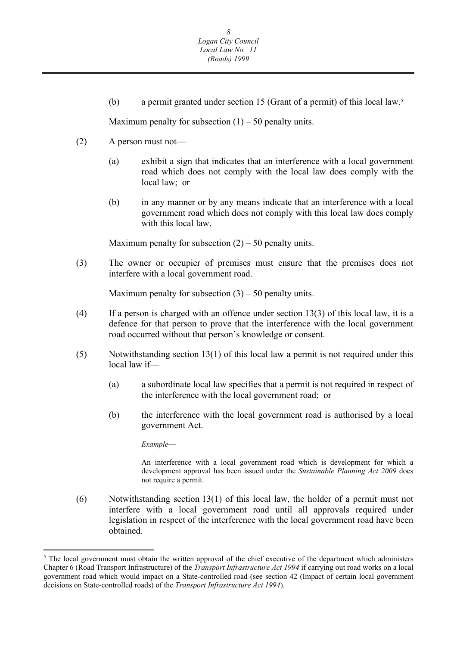(b) a permit granted under section 15 (Grant of a permit) of this local law.5

Maximum penalty for subsection  $(1)$  – 50 penalty units.

- (2) A person must not—
	- (a) exhibit a sign that indicates that an interference with a local government road which does not comply with the local law does comply with the local law; or
	- (b) in any manner or by any means indicate that an interference with a local government road which does not comply with this local law does comply with this local law.

Maximum penalty for subsection  $(2) - 50$  penalty units.

(3) The owner or occupier of premises must ensure that the premises does not interfere with a local government road.

Maximum penalty for subsection  $(3) - 50$  penalty units.

- $(4)$  If a person is charged with an offence under section 13(3) of this local law, it is a defence for that person to prove that the interference with the local government road occurred without that person's knowledge or consent.
- (5) Notwithstanding section 13(1) of this local law a permit is not required under this local law if—
	- (a) a subordinate local law specifies that a permit is not required in respect of the interference with the local government road; or
	- (b) the interference with the local government road is authorised by a local government Act.

*Example*—

 not require a permit. An interference with a local government road which is development for which a development approval has been issued under the *Sustainable Planning Act 2009* does

(6) Notwithstanding section 13(1) of this local law, the holder of a permit must not interfere with a local government road until all approvals required under legislation in respect of the interference with the local government road have been obtained.

 Chapter 6 (Road Transport Infrastructure) of the *Transport Infrastructure Act 1994* if carrying out road works on a local <sup>5</sup> The local government must obtain the written approval of the chief executive of the department which administers government road which would impact on a State-controlled road (see section 42 (Impact of certain local government decisions on State-controlled roads) of the *Transport Infrastructure Act 1994*).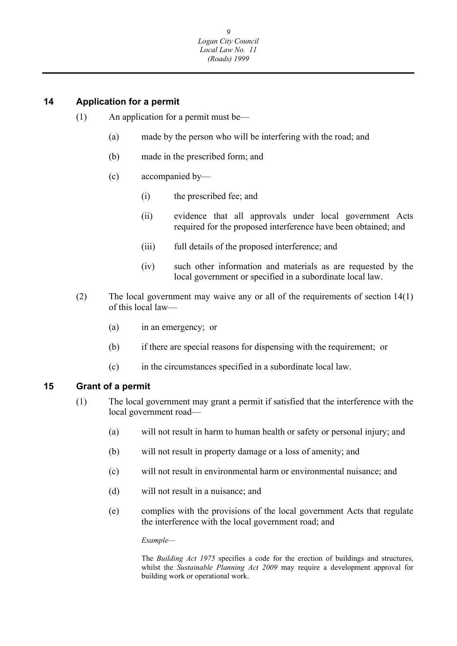### <span id="page-9-0"></span>**14 Application for a permit**

- (1) An application for a permit must be—
	- (a) made by the person who will be interfering with the road; and
	- (b) made in the prescribed form; and
	- (c) accompanied by—
		- (i) the prescribed fee; and
		- (ii) evidence that all approvals under local government Acts required for the proposed interference have been obtained; and
		- (iii) full details of the proposed interference; and
		- (iv) such other information and materials as are requested by the local government or specified in a subordinate local law.
- (2) The local government may waive any or all of the requirements of section 14(1) of this local law—
	- (a) in an emergency; or
	- (b) if there are special reasons for dispensing with the requirement; or
	- (c) in the circumstances specified in a subordinate local law.

#### **15 Grant of a permit**

- (1) The local government may grant a permit if satisfied that the interference with the local government road—
	- (a) will not result in harm to human health or safety or personal injury; and
	- (b) will not result in property damage or a loss of amenity; and
	- (c) will not result in environmental harm or environmental nuisance; and
	- (d) will not result in a nuisance; and
	- (e) complies with the provisions of the local government Acts that regulate the interference with the local government road; and

 *Example—* 

 whilst the *Sustainable Planning Act 2009* may require a development approval for The *Building Act 1975* specifies a code for the erection of buildings and structures, building work or operational work.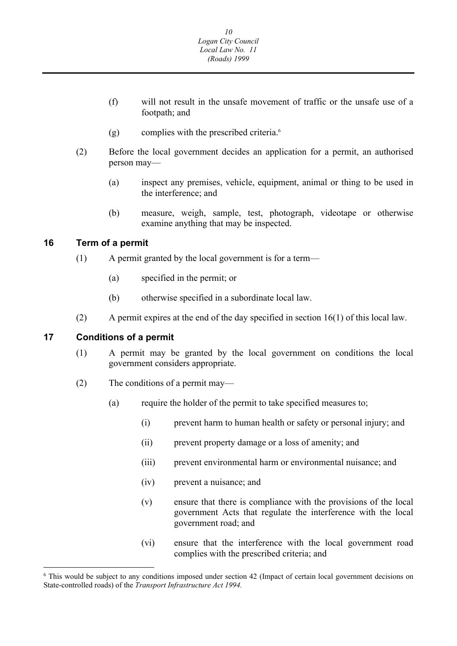- <span id="page-10-0"></span>(f) will not result in the unsafe movement of traffic or the unsafe use of a footpath; and
- (g) complies with the prescribed criteria.6
- (2) Before the local government decides an application for a permit, an authorised person may—
	- (a) inspect any premises, vehicle, equipment, animal or thing to be used in the interference; and
	- (b) measure, weigh, sample, test, photograph, videotape or otherwise examine anything that may be inspected.

#### **16 Term of a permit**

- (1) A permit granted by the local government is for a term—
	- (a) specified in the permit; or
	- (b) otherwise specified in a subordinate local law.
- (2) A permit expires at the end of the day specified in section 16(1) of this local law.

#### **17 Conditions of a permit**

- (1) A permit may be granted by the local government on conditions the local government considers appropriate.
- (2) The conditions of a permit may—
	- (a) require the holder of the permit to take specified measures to;
		- (i) prevent harm to human health or safety or personal injury; and
		- (ii) prevent property damage or a loss of amenity; and
		- (iii) prevent environmental harm or environmental nuisance; and
		- (iv) prevent a nuisance; and
		- (v) ensure that there is compliance with the provisions of the local government Acts that regulate the interference with the local government road; and
		- (vi) ensure that the interference with the local government road complies with the prescribed criteria; and

<sup>&</sup>lt;sup>6</sup> This would be subject to any conditions imposed under section 42 (Impact of certain local government decisions on State-controlled roads) of the *Transport Infrastructure Act 1994.*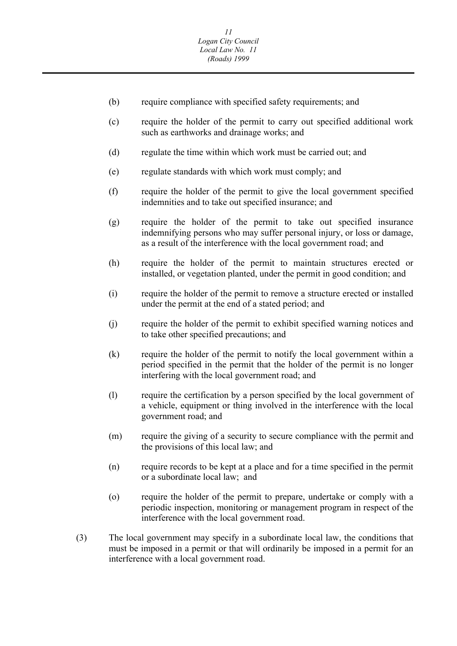- (b) require compliance with specified safety requirements; and
- (c) require the holder of the permit to carry out specified additional work such as earthworks and drainage works; and
- (d) regulate the time within which work must be carried out; and
- (e) regulate standards with which work must comply; and
- (f) require the holder of the permit to give the local government specified indemnities and to take out specified insurance; and
- (g) require the holder of the permit to take out specified insurance indemnifying persons who may suffer personal injury, or loss or damage, as a result of the interference with the local government road; and
- (h) require the holder of the permit to maintain structures erected or installed, or vegetation planted, under the permit in good condition; and
- (i) require the holder of the permit to remove a structure erected or installed under the permit at the end of a stated period; and
- (j) require the holder of the permit to exhibit specified warning notices and to take other specified precautions; and
- (k) require the holder of the permit to notify the local government within a period specified in the permit that the holder of the permit is no longer interfering with the local government road; and
- (l) require the certification by a person specified by the local government of a vehicle, equipment or thing involved in the interference with the local government road; and
- (m) require the giving of a security to secure compliance with the permit and the provisions of this local law; and
- (n) require records to be kept at a place and for a time specified in the permit or a subordinate local law; and
- (o) require the holder of the permit to prepare, undertake or comply with a periodic inspection, monitoring or management program in respect of the interference with the local government road.
- (3) The local government may specify in a subordinate local law, the conditions that must be imposed in a permit or that will ordinarily be imposed in a permit for an interference with a local government road.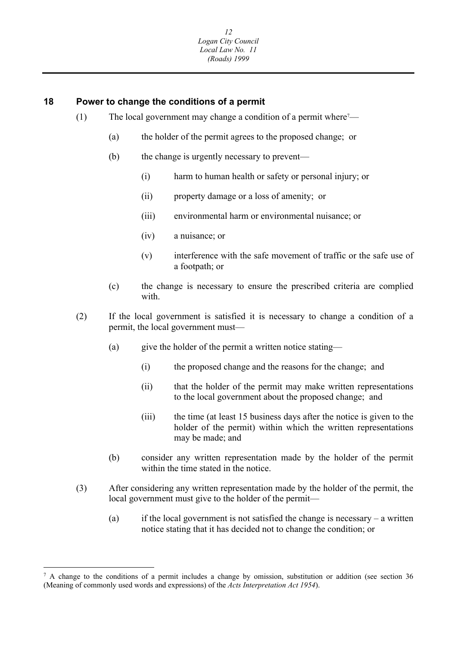#### <span id="page-12-0"></span>**18 Power to change the conditions of a permit**

- (1) The local government may change a condition of a permit where<sup> $7$ </sup>—
	- (a) the holder of the permit agrees to the proposed change; or
	- (b) the change is urgently necessary to prevent—
		- (i) harm to human health or safety or personal injury; or
		- (ii) property damage or a loss of amenity; or
		- (iii) environmental harm or environmental nuisance; or
		- (iv) a nuisance; or
		- (v) interference with the safe movement of traffic or the safe use of a footpath; or
	- (c) the change is necessary to ensure the prescribed criteria are complied with.
- (2) If the local government is satisfied it is necessary to change a condition of a permit, the local government must—
	- (a) give the holder of the permit a written notice stating—
		- (i) the proposed change and the reasons for the change; and
		- (ii) that the holder of the permit may make written representations to the local government about the proposed change; and
		- (iii) the time (at least 15 business days after the notice is given to the holder of the permit) within which the written representations may be made; and
	- (b) consider any written representation made by the holder of the permit within the time stated in the notice.
- (3) After considering any written representation made by the holder of the permit, the local government must give to the holder of the permit—
	- (a) if the local government is not satisfied the change is necessary a written notice stating that it has decided not to change the condition; or

 $^7$  A change to the conditions of a permit includes a change by omission, substitution or addition (see section 36) (Meaning of commonly used words and expressions) of the *Acts Interpretation Act 1954*).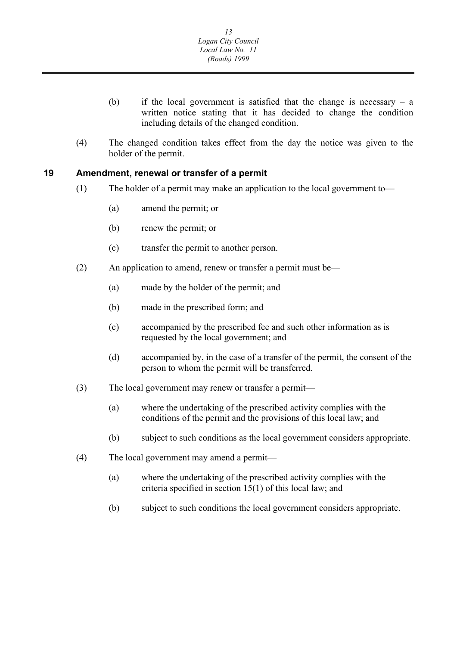- <span id="page-13-0"></span>(b) if the local government is satisfied that the change is necessary – a written notice stating that it has decided to change the condition including details of the changed condition.
- (4) The changed condition takes effect from the day the notice was given to the holder of the permit.

#### **19 Amendment, renewal or transfer of a permit**

- (1) The holder of a permit may make an application to the local government to—
	- (a) amend the permit; or
	- (b) renew the permit; or
	- (c) transfer the permit to another person.
- (2) An application to amend, renew or transfer a permit must be—
	- (a) made by the holder of the permit; and
	- (b) made in the prescribed form; and
	- (c) accompanied by the prescribed fee and such other information as is requested by the local government; and
	- (d) accompanied by, in the case of a transfer of the permit, the consent of the person to whom the permit will be transferred.
- (3) The local government may renew or transfer a permit—
	- (a) where the undertaking of the prescribed activity complies with the conditions of the permit and the provisions of this local law; and
	- (b) subject to such conditions as the local government considers appropriate.
- (4) The local government may amend a permit—
	- (a) where the undertaking of the prescribed activity complies with the criteria specified in section 15(1) of this local law; and
	- (b) subject to such conditions the local government considers appropriate.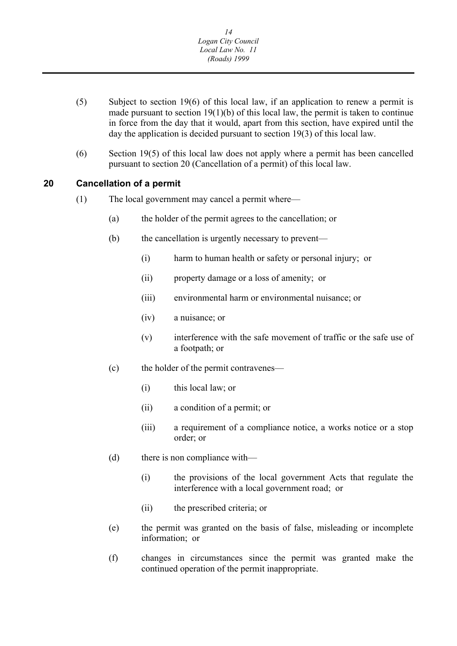- <span id="page-14-0"></span>(5) Subject to section 19(6) of this local law, if an application to renew a permit is made pursuant to section  $19(1)(b)$  of this local law, the permit is taken to continue in force from the day that it would, apart from this section, have expired until the day the application is decided pursuant to section 19(3) of this local law.
- (6) Section 19(5) of this local law does not apply where a permit has been cancelled pursuant to section 20 (Cancellation of a permit) of this local law.

#### **20 Cancellation of a permit**

- (1) The local government may cancel a permit where—
	- (a) the holder of the permit agrees to the cancellation; or
	- (b) the cancellation is urgently necessary to prevent—
		- (i) harm to human health or safety or personal injury; or
		- (ii) property damage or a loss of amenity; or
		- (iii) environmental harm or environmental nuisance; or
		- (iv) a nuisance; or
		- (v) interference with the safe movement of traffic or the safe use of a footpath; or
	- (c) the holder of the permit contravenes—
		- (i) this local law; or
		- (ii) a condition of a permit; or
		- (iii) a requirement of a compliance notice, a works notice or a stop order; or
	- (d) there is non compliance with—
		- (i) the provisions of the local government Acts that regulate the interference with a local government road; or
		- (ii) the prescribed criteria; or
	- (e) the permit was granted on the basis of false, misleading or incomplete information; or
	- (f) changes in circumstances since the permit was granted make the continued operation of the permit inappropriate.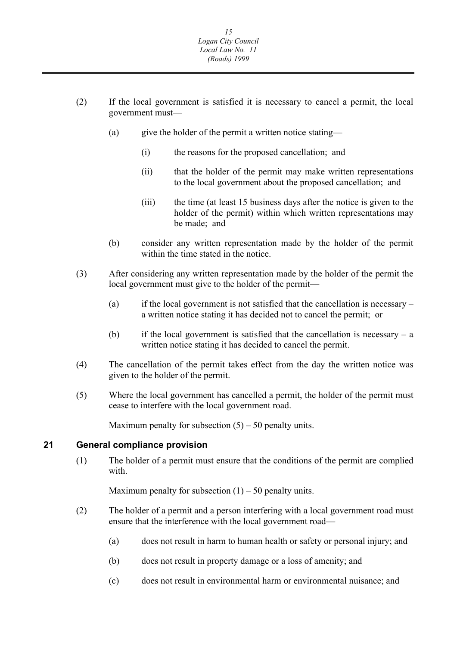- <span id="page-15-0"></span>(2) If the local government is satisfied it is necessary to cancel a permit, the local government must—
	- (a) give the holder of the permit a written notice stating—
		- (i) the reasons for the proposed cancellation; and
		- (ii) that the holder of the permit may make written representations to the local government about the proposed cancellation; and
		- (iii) the time (at least 15 business days after the notice is given to the holder of the permit) within which written representations may be made; and
	- (b) consider any written representation made by the holder of the permit within the time stated in the notice.
- (3) After considering any written representation made by the holder of the permit the local government must give to the holder of the permit—
	- (a) if the local government is not satisfied that the cancellation is necessary a written notice stating it has decided not to cancel the permit; or
	- (b) if the local government is satisfied that the cancellation is necessary a written notice stating it has decided to cancel the permit.
- (4) The cancellation of the permit takes effect from the day the written notice was given to the holder of the permit.
- (5) Where the local government has cancelled a permit, the holder of the permit must cease to interfere with the local government road.

Maximum penalty for subsection  $(5) - 50$  penalty units.

#### **21 General compliance provision**

(1) The holder of a permit must ensure that the conditions of the permit are complied with.

Maximum penalty for subsection  $(1)$  – 50 penalty units.

- (2) The holder of a permit and a person interfering with a local government road must ensure that the interference with the local government road—
	- (a) does not result in harm to human health or safety or personal injury; and
	- (b) does not result in property damage or a loss of amenity; and
	- (c) does not result in environmental harm or environmental nuisance; and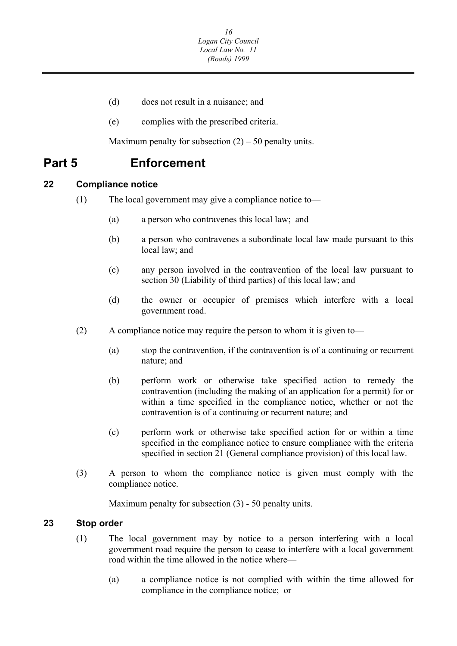- <span id="page-16-0"></span>(d) does not result in a nuisance; and
- (e) complies with the prescribed criteria.

Maximum penalty for subsection  $(2) - 50$  penalty units.

### **Part 5 Enforcement**

#### **22 Compliance notice**

- (1) The local government may give a compliance notice to—
	- (a) a person who contravenes this local law; and
	- (b) a person who contravenes a subordinate local law made pursuant to this local law; and
	- (c) any person involved in the contravention of the local law pursuant to section 30 (Liability of third parties) of this local law; and
	- (d) the owner or occupier of premises which interfere with a local government road.
- (2) A compliance notice may require the person to whom it is given to—
	- (a) stop the contravention, if the contravention is of a continuing or recurrent nature; and
	- (b) perform work or otherwise take specified action to remedy the contravention (including the making of an application for a permit) for or within a time specified in the compliance notice, whether or not the contravention is of a continuing or recurrent nature; and
	- (c) perform work or otherwise take specified action for or within a time specified in the compliance notice to ensure compliance with the criteria specified in section 21 (General compliance provision) of this local law.
- (3) A person to whom the compliance notice is given must comply with the compliance notice.

Maximum penalty for subsection (3) - 50 penalty units.

#### **23 Stop order**

- (1) The local government may by notice to a person interfering with a local government road require the person to cease to interfere with a local government road within the time allowed in the notice where—
	- (a) a compliance notice is not complied with within the time allowed for compliance in the compliance notice; or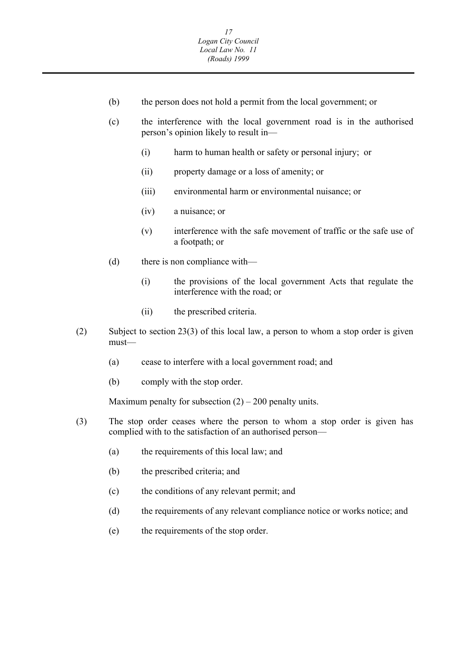- (b) the person does not hold a permit from the local government; or
- (c) the interference with the local government road is in the authorised person's opinion likely to result in—
	- (i) harm to human health or safety or personal injury; or
	- (ii) property damage or a loss of amenity; or
	- (iii) environmental harm or environmental nuisance; or
	- (iv) a nuisance; or
	- (v) interference with the safe movement of traffic or the safe use of a footpath; or
- (d) there is non compliance with—
	- (i) the provisions of the local government Acts that regulate the interference with the road; or
	- (ii) the prescribed criteria.
- (2) Subject to section 23(3) of this local law, a person to whom a stop order is given must—
	- (a) cease to interfere with a local government road; and
	- (b) comply with the stop order.

Maximum penalty for subsection  $(2) - 200$  penalty units.

- (3) The stop order ceases where the person to whom a stop order is given has complied with to the satisfaction of an authorised person—
	- (a) the requirements of this local law; and
	- (b) the prescribed criteria; and
	- (c) the conditions of any relevant permit; and
	- (d) the requirements of any relevant compliance notice or works notice; and
	- (e) the requirements of the stop order.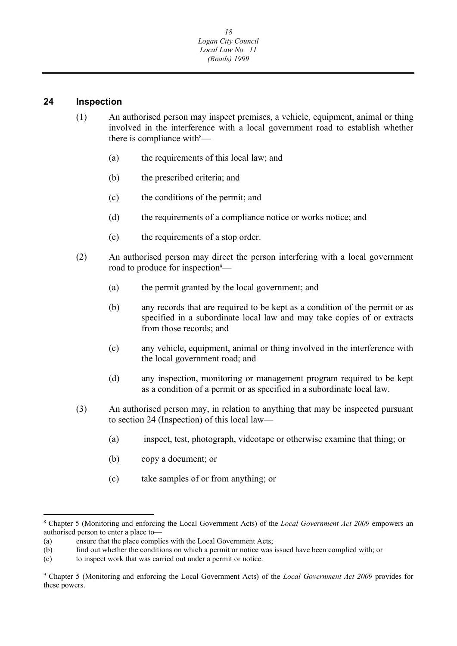#### <span id="page-18-0"></span>**24 Inspection**

- (1) An authorised person may inspect premises, a vehicle, equipment, animal or thing involved in the interference with a local government road to establish whether there is compliance with $\delta$ —
	- (a) the requirements of this local law; and
	- (b) the prescribed criteria; and
	- (c) the conditions of the permit; and
	- (d) the requirements of a compliance notice or works notice; and
	- (e) the requirements of a stop order.
- (2) An authorised person may direct the person interfering with a local government road to produce for inspection<sup>9</sup>—
	- (a) the permit granted by the local government; and
	- (b) any records that are required to be kept as a condition of the permit or as specified in a subordinate local law and may take copies of or extracts from those records; and
	- (c) any vehicle, equipment, animal or thing involved in the interference with the local government road; and
	- (d) any inspection, monitoring or management program required to be kept as a condition of a permit or as specified in a subordinate local law.
- (3) An authorised person may, in relation to anything that may be inspected pursuant to section 24 (Inspection) of this local law—
	- (a) inspect, test, photograph, videotape or otherwise examine that thing; or
	- (b) copy a document; or
	- (c) take samples of or from anything; or

<sup>8</sup> Chapter 5 (Monitoring and enforcing the Local Government Acts) of the *Local Government Act 2009* empowers an authorised person to enter a place to—

<sup>(</sup>a) ensure that the place complies with the Local Government Acts;

 (b) find out whether the conditions on which a permit or notice was issued have been complied with; or

 (c) to inspect work that was carried out under a permit or notice.

<sup>9</sup> Chapter 5 (Monitoring and enforcing the Local Government Acts) of the *Local Government Act 2009* provides for these powers.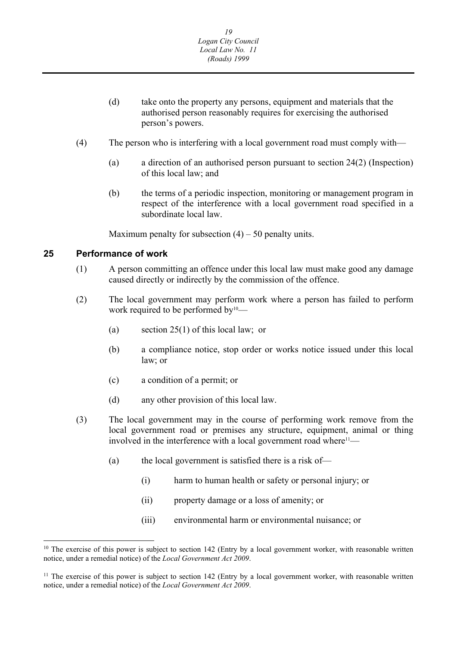- <span id="page-19-0"></span>(d) take onto the property any persons, equipment and materials that the authorised person reasonably requires for exercising the authorised person's powers.
- (4) The person who is interfering with a local government road must comply with—
	- (a) a direction of an authorised person pursuant to section 24(2) (Inspection) of this local law; and
	- (b) the terms of a periodic inspection, monitoring or management program in respect of the interference with a local government road specified in a subordinate local law.

Maximum penalty for subsection  $(4) - 50$  penalty units.

#### **25 Performance of work**

- (1) A person committing an offence under this local law must make good any damage caused directly or indirectly by the commission of the offence.
- (2) The local government may perform work where a person has failed to perform work required to be performed by<sup>10</sup>—
	- (a) section 25(1) of this local law; or
	- (b) a compliance notice, stop order or works notice issued under this local law; or
	- (c) a condition of a permit; or
	- (d) any other provision of this local law.
- (3) The local government may in the course of performing work remove from the local government road or premises any structure, equipment, animal or thing involved in the interference with a local government road where<sup>11</sup>—
	- (a) the local government is satisfied there is a risk of—
		- (i) harm to human health or safety or personal injury; or
		- (ii) property damage or a loss of amenity; or
		- (iii) environmental harm or environmental nuisance; or

 $10$  The exercise of this power is subject to section 142 (Entry by a local government worker, with reasonable written notice, under a remedial notice) of the *Local Government Act 2009*.

 $11$  The exercise of this power is subject to section 142 (Entry by a local government worker, with reasonable written notice, under a remedial notice) of the *Local Government Act 2009*.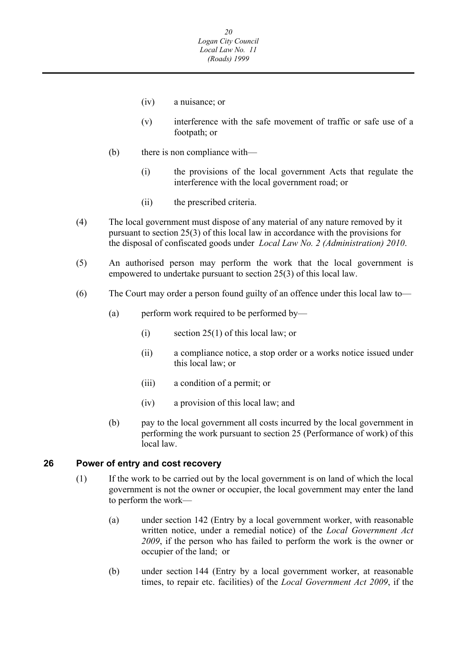- <span id="page-20-0"></span>(iv) a nuisance; or
- (v) interference with the safe movement of traffic or safe use of a footpath; or
- (b) there is non compliance with—
	- (i) the provisions of the local government Acts that regulate the interference with the local government road; or
	- (ii) the prescribed criteria.
- (4) The local government must dispose of any material of any nature removed by it pursuant to section 25(3) of this local law in accordance with the provisions for the disposal of confiscated goods under *Local Law No. 2 (Administration) 2010*.
- (5) An authorised person may perform the work that the local government is empowered to undertake pursuant to section 25(3) of this local law.
- (6) The Court may order a person found guilty of an offence under this local law to—
	- (a) perform work required to be performed by—
		- (i) section 25(1) of this local law; or
		- (ii) a compliance notice, a stop order or a works notice issued under this local law; or
		- (iii) a condition of a permit; or
		- (iv) a provision of this local law; and
	- (b) pay to the local government all costs incurred by the local government in performing the work pursuant to section 25 (Performance of work) of this local law.

#### **26 Power of entry and cost recovery**

- (1) If the work to be carried out by the local government is on land of which the local government is not the owner or occupier, the local government may enter the land to perform the work—
	- (a) under section 142 (Entry by a local government worker, with reasonable written notice, under a remedial notice) of the *Local Government Act 2009*, if the person who has failed to perform the work is the owner or occupier of the land; or
	- (b) under section 144 (Entry by a local government worker, at reasonable times, to repair etc. facilities) of the *Local Government Act 2009*, if the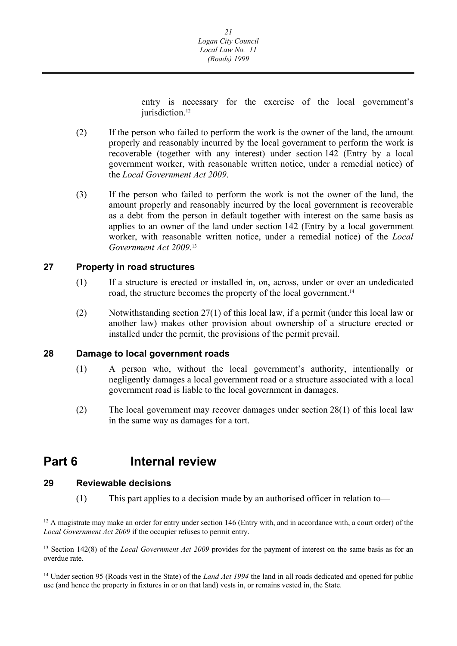entry is necessary for the exercise of the local government's jurisdiction.<sup>12</sup>

- <span id="page-21-0"></span>(2) If the person who failed to perform the work is the owner of the land, the amount properly and reasonably incurred by the local government to perform the work is recoverable (together with any interest) under section 142 (Entry by a local government worker, with reasonable written notice, under a remedial notice) of the *Local Government Act 2009*.
- (3) If the person who failed to perform the work is not the owner of the land, the amount properly and reasonably incurred by the local government is recoverable as a debt from the person in default together with interest on the same basis as applies to an owner of the land under section 142 (Entry by a local government worker, with reasonable written notice, under a remedial notice) of the *Local Government Act 2009*. 13

#### **27 Property in road structures**

- (1) If a structure is erected or installed in, on, across, under or over an undedicated road, the structure becomes the property of the local government.14
- (2) Notwithstanding section 27(1) of this local law, if a permit (under this local law or another law) makes other provision about ownership of a structure erected or installed under the permit, the provisions of the permit prevail.

#### **28 Damage to local government roads**

- (1) A person who, without the local government's authority, intentionally or negligently damages a local government road or a structure associated with a local government road is liable to the local government in damages.
- (2) The local government may recover damages under section 28(1) of this local law in the same way as damages for a tort.

## **Part 6 Internal review**

#### **29 Reviewable decisions**

(1) This part applies to a decision made by an authorised officer in relation to—

<sup>&</sup>lt;sup>12</sup> A magistrate may make an order for entry under section 146 (Entry with, and in accordance with, a court order) of the *Local Government Act 2009* if the occupier refuses to permit entry.

<sup>&</sup>lt;sup>13</sup> Section 142(8) of the *Local Government Act 2009* provides for the payment of interest on the same basis as for an overdue rate.

 use (and hence the property in fixtures in or on that land) vests in, or remains vested in, the State. 14 Under section 95 (Roads vest in the State) of the *Land Act 1994* the land in all roads dedicated and opened for public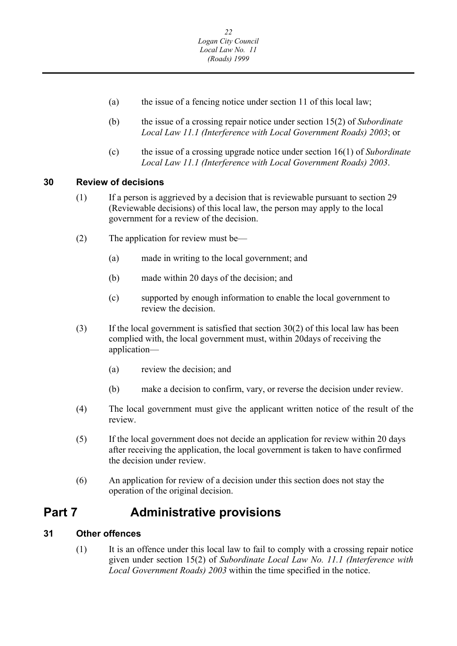- <span id="page-22-0"></span>(a) the issue of a fencing notice under section 11 of this local law;
- (b) the issue of a crossing repair notice under section 15(2) of *Subordinate Local Law 11.1 (Interference with Local Government Roads) 2003*; or
- (c) the issue of a crossing upgrade notice under section 16(1) of *Subordinate Local Law 11.1 (Interference with Local Government Roads) 2003*.

#### **30 Review of decisions**

- (1) If a person is aggrieved by a decision that is reviewable pursuant to section 29 (Reviewable decisions) of this local law, the person may apply to the local government for a review of the decision.
- (2) The application for review must be—
	- (a) made in writing to the local government; and
	- (b) made within 20 days of the decision; and
	- (c) supported by enough information to enable the local government to review the decision.
- (3) If the local government is satisfied that section  $30(2)$  of this local law has been complied with, the local government must, within 20days of receiving the application—
	- (a) review the decision; and
	- (b) make a decision to confirm, vary, or reverse the decision under review.
- (4) The local government must give the applicant written notice of the result of the review.
- (5) If the local government does not decide an application for review within 20 days after receiving the application, the local government is taken to have confirmed the decision under review.
- (6) An application for review of a decision under this section does not stay the operation of the original decision.

### **Part 7 Administrative provisions**

#### **31 Other offences**

(1) It is an offence under this local law to fail to comply with a crossing repair notice given under section 15(2) of *Subordinate Local Law No. 11.1 (Interference with Local Government Roads) 2003* within the time specified in the notice.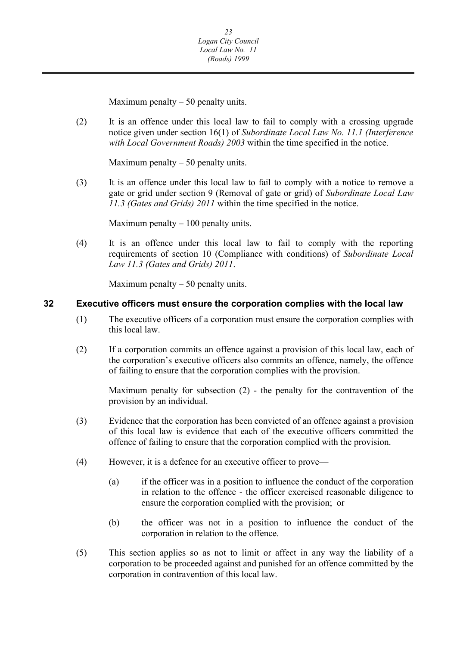Maximum penalty  $-50$  penalty units.

<span id="page-23-0"></span>(2) It is an offence under this local law to fail to comply with a crossing upgrade notice given under section 16(1) of *Subordinate Local Law No. 11.1 (Interference with Local Government Roads) 2003* within the time specified in the notice.

Maximum penalty  $-50$  penalty units.

(3) It is an offence under this local law to fail to comply with a notice to remove a gate or grid under section 9 (Removal of gate or grid) of *Subordinate Local Law 11.3 (Gates and Grids) 2011* within the time specified in the notice.

Maximum penalty  $-100$  penalty units.

(4) It is an offence under this local law to fail to comply with the reporting requirements of section 10 (Compliance with conditions) of *Subordinate Local Law 11.3 (Gates and Grids) 2011*.

Maximum penalty  $-50$  penalty units.

#### **32 Executive officers must ensure the corporation complies with the local law**

- (1) The executive officers of a corporation must ensure the corporation complies with this local law.
- (2) If a corporation commits an offence against a provision of this local law, each of the corporation's executive officers also commits an offence, namely, the offence of failing to ensure that the corporation complies with the provision.

Maximum penalty for subsection (2) - the penalty for the contravention of the provision by an individual.

- (3) Evidence that the corporation has been convicted of an offence against a provision of this local law is evidence that each of the executive officers committed the offence of failing to ensure that the corporation complied with the provision.
- (4) However, it is a defence for an executive officer to prove—
	- (a) if the officer was in a position to influence the conduct of the corporation in relation to the offence - the officer exercised reasonable diligence to ensure the corporation complied with the provision; or
	- (b) the officer was not in a position to influence the conduct of the corporation in relation to the offence.
- (5) This section applies so as not to limit or affect in any way the liability of a corporation to be proceeded against and punished for an offence committed by the corporation in contravention of this local law.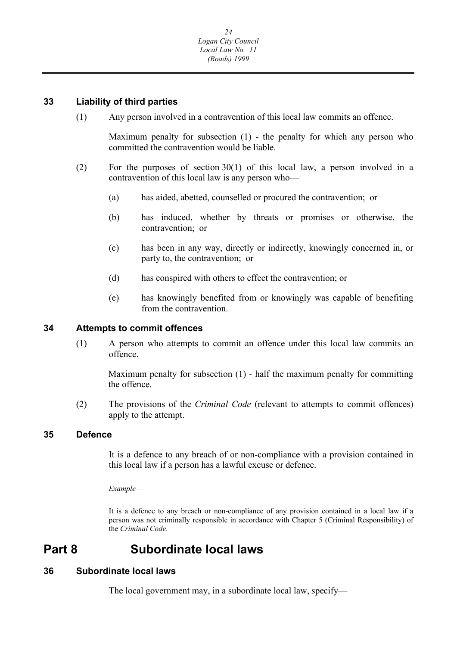#### <span id="page-24-0"></span>**33 Liability of third parties**

(1) Any person involved in a contravention of this local law commits an offence.

Maximum penalty for subsection (1) - the penalty for which any person who committed the contravention would be liable.

- (2) For the purposes of section 30(1) of this local law, a person involved in a contravention of this local law is any person who—
	- (a) has aided, abetted, counselled or procured the contravention; or
	- (b) has induced, whether by threats or promises or otherwise, the contravention; or
	- (c) has been in any way, directly or indirectly, knowingly concerned in, or party to, the contravention; or
	- (d) has conspired with others to effect the contravention; or
	- (e) has knowingly benefited from or knowingly was capable of benefiting from the contravention.

#### **34 Attempts to commit offences**

(1) A person who attempts to commit an offence under this local law commits an offence.

Maximum penalty for subsection (1) - half the maximum penalty for committing the offence.

(2) The provisions of the *Criminal Code* (relevant to attempts to commit offences) apply to the attempt.

#### **35 Defence**

It is a defence to any breach of or non-compliance with a provision contained in this local law if a person has a lawful excuse or defence.

*Example*—

It is a defence to any breach or non-compliance of any provision contained in a local law if a person was not criminally responsible in accordance with Chapter 5 (Criminal Responsibility) of the *Criminal Code*.

### **Part 8 Subordinate local laws**

#### **36 Subordinate local laws**

The local government may, in a subordinate local law, specify—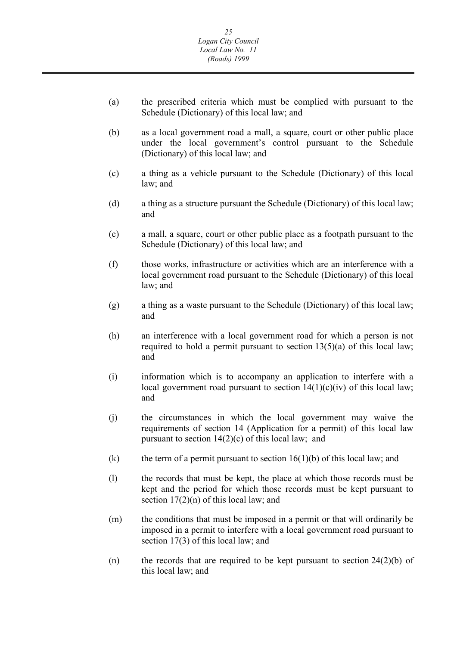- (a) the prescribed criteria which must be complied with pursuant to the Schedule (Dictionary) of this local law; and
- (b) as a local government road a mall, a square, court or other public place under the local government's control pursuant to the Schedule (Dictionary) of this local law; and
- (c) a thing as a vehicle pursuant to the Schedule (Dictionary) of this local law; and
- (d) a thing as a structure pursuant the Schedule (Dictionary) of this local law; and
- (e) a mall, a square, court or other public place as a footpath pursuant to the Schedule (Dictionary) of this local law; and
- (f) those works, infrastructure or activities which are an interference with a local government road pursuant to the Schedule (Dictionary) of this local law; and
- (g) a thing as a waste pursuant to the Schedule (Dictionary) of this local law; and
- required to hold a permit pursuant to section 13(5)(a) of this local law; and (h) an interference with a local government road for which a person is not
- (i) information which is to accompany an application to interfere with a local government road pursuant to section  $14(1)(c)(iv)$  of this local law; and
- (j) the circumstances in which the local government may waive the requirements of section 14 (Application for a permit) of this local law pursuant to section  $14(2)(c)$  of this local law; and
- (k) the term of a permit pursuant to section  $16(1)(b)$  of this local law; and
- (l) the records that must be kept, the place at which those records must be kept and the period for which those records must be kept pursuant to section  $17(2)(n)$  of this local law; and
- (m) the conditions that must be imposed in a permit or that will ordinarily be imposed in a permit to interfere with a local government road pursuant to section 17(3) of this local law; and
- (n) the records that are required to be kept pursuant to section  $24(2)(b)$  of this local law; and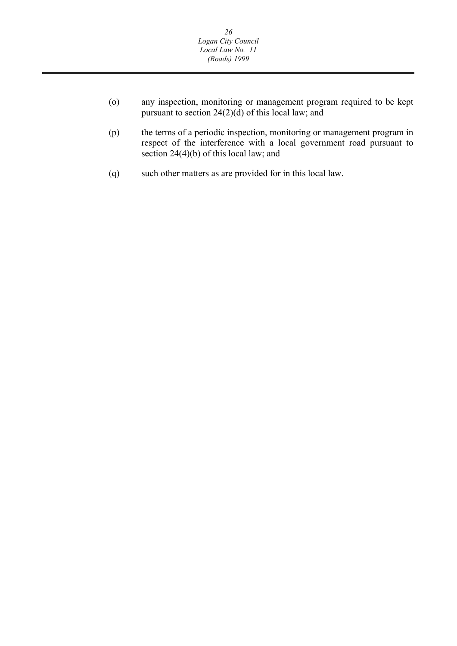- <span id="page-26-0"></span>(o) any inspection, monitoring or management program required to be kept pursuant to section  $24(2)(d)$  of this local law; and
- (p) the terms of a periodic inspection, monitoring or management program in respect of the interference with a local government road pursuant to section 24(4)(b) of this local law; and
- (q) such other matters as are provided for in this local law.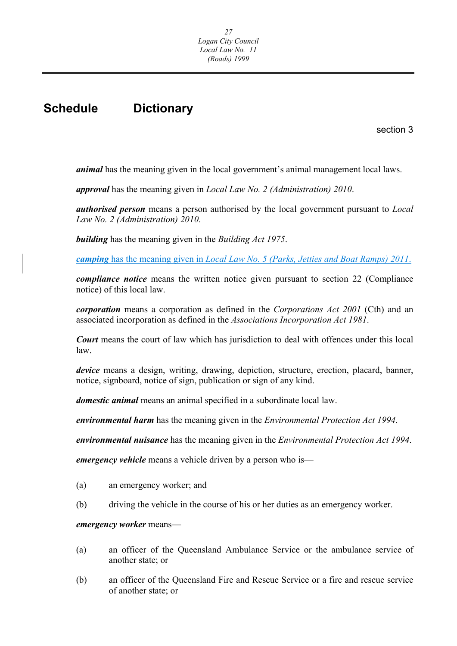# **Schedule Dictionary**

section 3

*animal* has the meaning given in the local government's animal management local laws.

*approval* has the meaning given in *Local Law No. 2 (Administration) 2010*.

*authorised person* means a person authorised by the local government pursuant to *Local Law No. 2 (Administration) 2010*.

*building* has the meaning given in the *Building Act 1975*.

 *camping* has the meaning given in *Local Law No. 5 (Parks, Jetties and Boat Ramps) 2011*.

*compliance notice* means the written notice given pursuant to section 22 (Compliance notice) of this local law.

*corporation* means a corporation as defined in the *Corporations Act 2001* (Cth) and an associated incorporation as defined in the *Associations Incorporation Act 1981*.

*Court* means the court of law which has jurisdiction to deal with offences under this local law.

*device* means a design, writing, drawing, depiction, structure, erection, placard, banner, notice, signboard, notice of sign, publication or sign of any kind.

*domestic animal* means an animal specified in a subordinate local law.

*environmental harm* has the meaning given in the *Environmental Protection Act 1994*.

*environmental nuisance* has the meaning given in the *Environmental Protection Act 1994*.

*emergency vehicle* means a vehicle driven by a person who is—

- (a) an emergency worker; and
- (b) driving the vehicle in the course of his or her duties as an emergency worker.

#### *emergency worker* means—

- (a) an officer of the Queensland Ambulance Service or the ambulance service of another state; or
- (b) an officer of the Queensland Fire and Rescue Service or a fire and rescue service of another state; or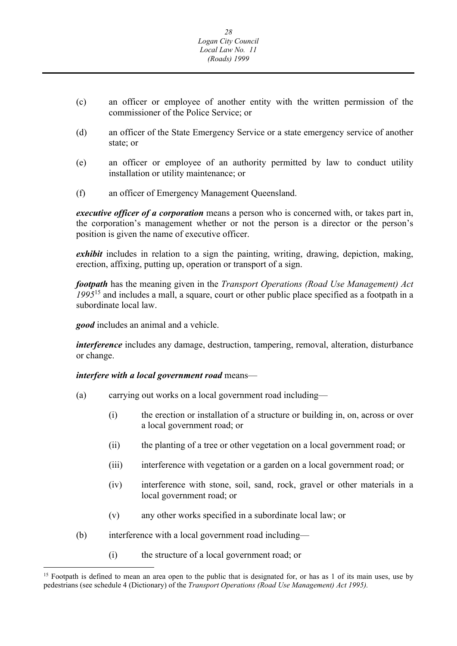- (c) an officer or employee of another entity with the written permission of the commissioner of the Police Service; or
- (d) an officer of the State Emergency Service or a state emergency service of another state; or
- (e) an officer or employee of an authority permitted by law to conduct utility installation or utility maintenance; or
- (f) an officer of Emergency Management Queensland.

*executive officer of a corporation* means a person who is concerned with, or takes part in, the corporation's management whether or not the person is a director or the person's position is given the name of executive officer.

*exhibit* includes in relation to a sign the painting, writing, drawing, depiction, making, erection, affixing, putting up, operation or transport of a sign.

*footpath* has the meaning given in the *Transport Operations (Road Use Management) Act 1995*15 and includes a mall, a square, court or other public place specified as a footpath in a subordinate local law.

*good* includes an animal and a vehicle.

*interference* includes any damage, destruction, tampering, removal, alteration, disturbance or change.

#### *interfere with a local government road* means—

- (a) carrying out works on a local government road including—
	- (i) the erection or installation of a structure or building in, on, across or over a local government road; or
	- (ii) the planting of a tree or other vegetation on a local government road; or
	- (iii) interference with vegetation or a garden on a local government road; or
	- (iv) interference with stone, soil, sand, rock, gravel or other materials in a local government road; or
	- (v) any other works specified in a subordinate local law; or
- (b) interference with a local government road including—
	- (i) the structure of a local government road; or

<sup>&</sup>lt;sup>15</sup> Footpath is defined to mean an area open to the public that is designated for, or has as 1 of its main uses, use by pedestrians (see schedule 4 (Dictionary) of the *Transport Operations (Road Use Management) Act 1995).*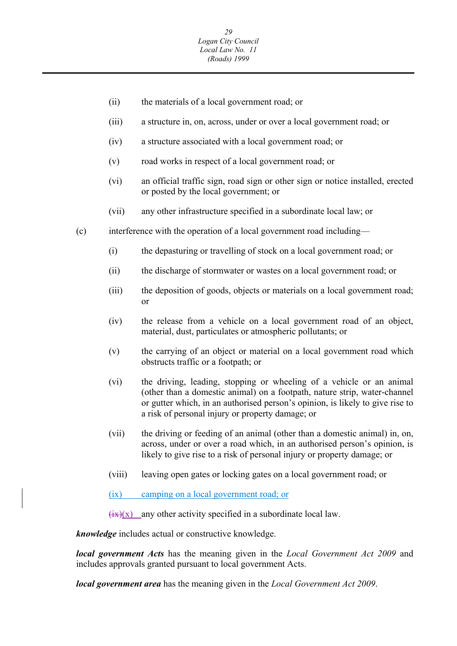- (ii) the materials of a local government road; or
- (iii) a structure in, on, across, under or over a local government road; or
- (iv) a structure associated with a local government road; or
- (v) road works in respect of a local government road; or
- (vi) an official traffic sign, road sign or other sign or notice installed, erected or posted by the local government; or
- (vii) any other infrastructure specified in a subordinate local law; or
- (c) interference with the operation of a local government road including—
	- (i) the depasturing or travelling of stock on a local government road; or
	- (ii) the discharge of stormwater or wastes on a local government road; or
	- (iii) the deposition of goods, objects or materials on a local government road; or
	- (iv) the release from a vehicle on a local government road of an object, material, dust, particulates or atmospheric pollutants; or
	- (v) the carrying of an object or material on a local government road which obstructs traffic or a footpath; or
	- (vi) the driving, leading, stopping or wheeling of a vehicle or an animal (other than a domestic animal) on a footpath, nature strip, water-channel or gutter which, in an authorised person's opinion, is likely to give rise to a risk of personal injury or property damage; or
	- (vii) the driving or feeding of an animal (other than a domestic animal) in, on, across, under or over a road which, in an authorised person's opinion, is likely to give rise to a risk of personal injury or property damage; or
	- (viii) leaving open gates or locking gates on a local government road; or
	- (ix) camping on a local government road; or

 $\frac{f(x)(x)}{x}$  any other activity specified in a subordinate local law.

*knowledge* includes actual or constructive knowledge.

*local government Acts* has the meaning given in the *Local Government Act 2009* and includes approvals granted pursuant to local government Acts.

*local government area* has the meaning given in the *Local Government Act 2009*.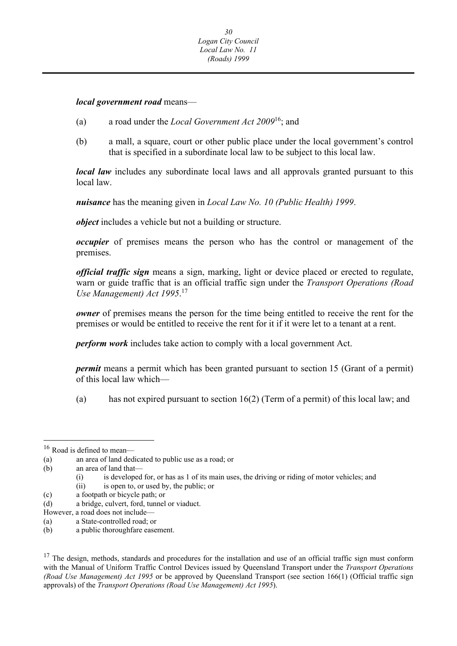*local government road* means—

- (a) a road under the *Local Government Act 2009*16; and
- (b) a mall, a square, court or other public place under the local government's control that is specified in a subordinate local law to be subject to this local law.

*local law* includes any subordinate local laws and all approvals granted pursuant to this local law.

*nuisance* has the meaning given in *Local Law No. 10 (Public Health) 1999*.

*object* includes a vehicle but not a building or structure.

*occupier* of premises means the person who has the control or management of the premises.

*official traffic sign* means a sign, marking, light or device placed or erected to regulate, warn or guide traffic that is an official traffic sign under the *Transport Operations (Road Use Management) Act 1995*. 17

*owner* of premises means the person for the time being entitled to receive the rent for the premises or would be entitled to receive the rent for it if it were let to a tenant at a rent.

*perform work* includes take action to comply with a local government Act.

*permit* means a permit which has been granted pursuant to section 15 (Grant of a permit) of this local law which—

(a) has not expired pursuant to section 16(2) (Term of a permit) of this local law; and

<sup>&</sup>lt;sup>16</sup> Road is defined to mean—

<sup>(</sup>a) an area of land dedicated to public use as a road; or

<sup>(</sup>b) an area of land that—

<sup>(</sup>i) is developed for, or has as 1 of its main uses, the driving or riding of motor vehicles; and

 (ii) is open to, or used by, the public; or

 (c) a footpath or bicycle path; or

 (d) a bridge, culvert, ford, tunnel or viaduct.

 However, a road does not include—

<sup>(</sup>a) a State-controlled road; or

 $(b)$ a public thoroughfare easement.

 with the Manual of Uniform Traffic Control Devices issued by Queensland Transport under the *Transport Operations (Road Use Management) Act 1995* or be approved by Queensland Transport (see section 166(1) (Official traffic sign  $17$  The design, methods, standards and procedures for the installation and use of an official traffic sign must conform approvals) of the *Transport Operations (Road Use Management) Act 1995*).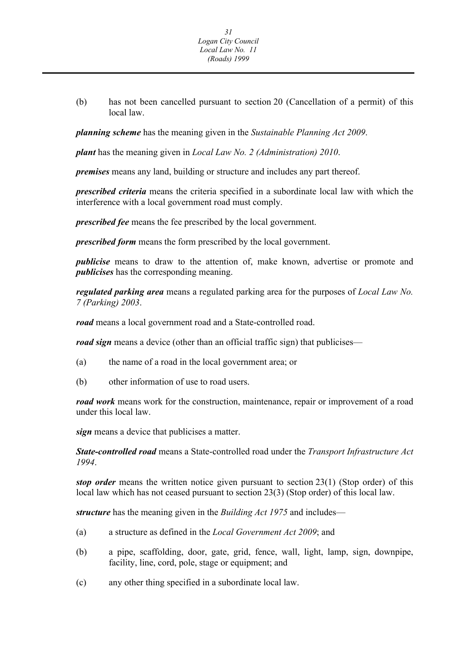(b) has not been cancelled pursuant to section 20 (Cancellation of a permit) of this local law.

*planning scheme* has the meaning given in the *Sustainable Planning Act 2009*.

*plant* has the meaning given in *Local Law No. 2 (Administration) 2010*.

*premises* means any land, building or structure and includes any part thereof.

*prescribed criteria* means the criteria specified in a subordinate local law with which the interference with a local government road must comply.

*prescribed fee* means the fee prescribed by the local government.

*prescribed form* means the form prescribed by the local government.

*publicise* means to draw to the attention of, make known, advertise or promote and *publicises* has the corresponding meaning.

*regulated parking area* means a regulated parking area for the purposes of *Local Law No. 7 (Parking) 2003*.

*road* means a local government road and a State-controlled road.

*road sign* means a device (other than an official traffic sign) that publicises—

- (a) the name of a road in the local government area; or
- (b) other information of use to road users.

*road work* means work for the construction, maintenance, repair or improvement of a road under this local law.

*sign* means a device that publicises a matter.

*State-controlled road* means a State-controlled road under the *Transport Infrastructure Act 1994*.

*stop order* means the written notice given pursuant to section 23(1) (Stop order) of this local law which has not ceased pursuant to section 23(3) (Stop order) of this local law.

*structure* has the meaning given in the *Building Act 1975* and includes—

- (a) a structure as defined in the *Local Government Act 2009*; and
- (b) a pipe, scaffolding, door, gate, grid, fence, wall, light, lamp, sign, downpipe, facility, line, cord, pole, stage or equipment; and
- (c) any other thing specified in a subordinate local law.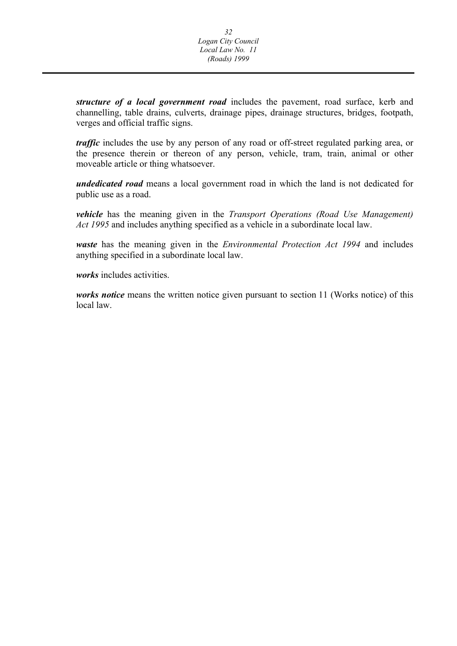<span id="page-32-0"></span>*structure of a local government road* includes the pavement, road surface, kerb and channelling, table drains, culverts, drainage pipes, drainage structures, bridges, footpath, verges and official traffic signs.

*traffic* includes the use by any person of any road or off-street regulated parking area, or the presence therein or thereon of any person, vehicle, tram, train, animal or other moveable article or thing whatsoever.

*undedicated road* means a local government road in which the land is not dedicated for public use as a road.

*vehicle* has the meaning given in the *Transport Operations (Road Use Management) Act 1995* and includes anything specified as a vehicle in a subordinate local law.

*waste* has the meaning given in the *Environmental Protection Act 1994* and includes anything specified in a subordinate local law.

*works* includes activities.

*works notice* means the written notice given pursuant to section 11 (Works notice) of this local law.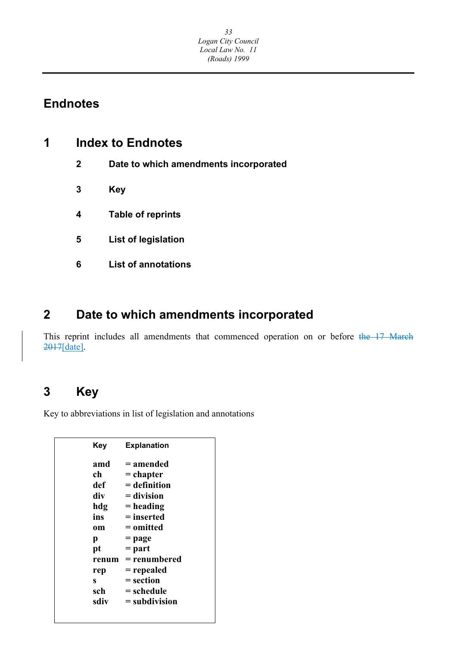# **Endnotes**

| 4 | <b>Index to Endnotes</b> |
|---|--------------------------|
|   |                          |

- **2 Date to which amendments incorporated**
- **3 Key**
- **4 Table of reprints**
- **5 List of legislation**
- **6 List of annotations**

# **2 Date to which amendments incorporated**

This reprint includes all amendments that commenced operation on or before the 17 March 2017[date].

# **3 Key**

Key to abbreviations in list of legislation and annotations

| Kev   | <b>Explanation</b> |
|-------|--------------------|
| amd   | = amended          |
| ch    | = chapter          |
| def   | $=$ definition     |
| div   | $=$ division       |
| hdg   | $=$ heading        |
| ins   | $=$ inserted       |
| om    | = omitted          |
| р     | = page             |
| pt    | $=$ part           |
| renum | = renumbered       |
| rep   | = repealed         |
| S     | = section          |
| sch   | = schedule         |
| sdiv  | $=$ subdivision    |
|       |                    |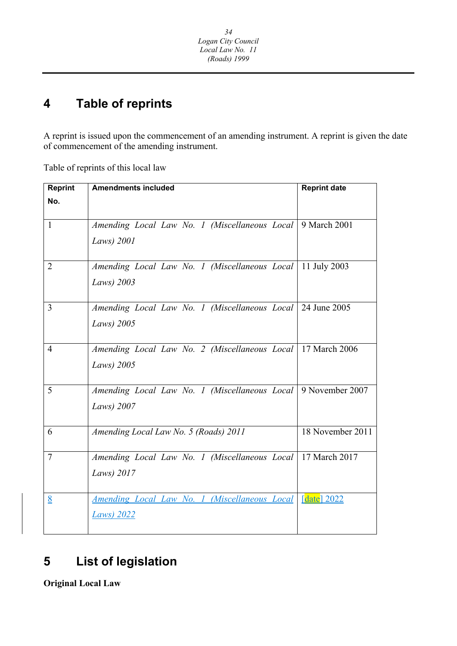#### **4 Table of reprints**

A reprint is issued upon the commencement of an amending instrument. A reprint is given the date of commencement of the amending instrument.

Table of reprints of this local law

| <b>Reprint</b> | <b>Amendments included</b>                                      | <b>Reprint date</b> |
|----------------|-----------------------------------------------------------------|---------------------|
| No.            |                                                                 |                     |
|                |                                                                 |                     |
| $\mathbf{1}$   | Amending Local Law No. 1 (Miscellaneous Local)                  | 9 March 2001        |
|                | Laws) 2001                                                      |                     |
|                |                                                                 |                     |
| 2              | Amending Local Law No. 1 (Miscellaneous Local   11 July 2003    |                     |
|                | Laws) 2003                                                      |                     |
|                |                                                                 |                     |
| $\overline{3}$ | Amending Local Law No. 1 (Miscellaneous Local 24 June 2005      |                     |
|                | Laws) 2005                                                      |                     |
|                |                                                                 |                     |
| $\overline{4}$ | Amending Local Law No. 2 (Miscellaneous Local   17 March 2006   |                     |
|                | Laws) 2005                                                      |                     |
|                |                                                                 |                     |
| 5              | Amending Local Law No. 1 (Miscellaneous Local   9 November 2007 |                     |
|                | Laws) 2007                                                      |                     |
|                |                                                                 |                     |
| 6              | Amending Local Law No. 5 (Roads) 2011                           | 18 November 2011    |
|                |                                                                 |                     |
| $\overline{7}$ | Amending Local Law No. 1 (Miscellaneous Local   17 March 2017   |                     |
|                | Laws) 2017                                                      |                     |
|                |                                                                 |                     |
| 8              | Amending Local Law No. 1 (Miscellaneous Local                   | [ $date$ ] 2022     |
|                | <b>Laws</b> ) 2022                                              |                     |
|                |                                                                 |                     |

#### **List of legislation 5**

**Original Local Law**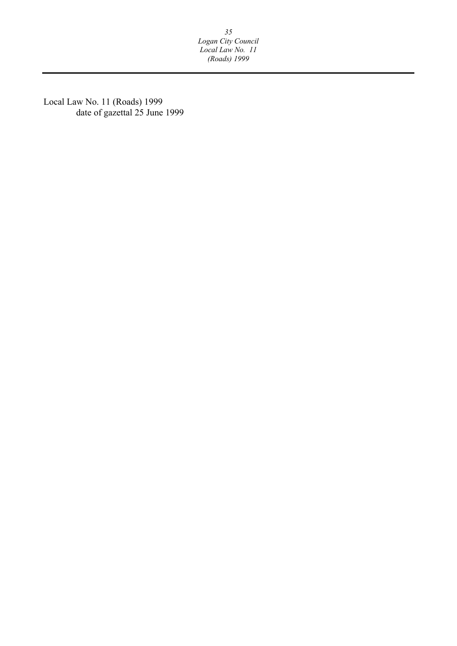*35 Logan City Council Local Law No. 11 (Roads) 1999* 

Local Law No. 11 (Roads) 1999 date of gazettal 25 June 1999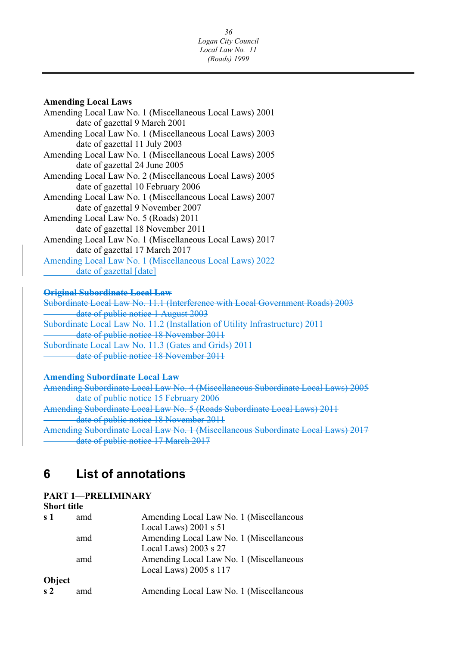#### **Amending Local Laws**

Amending Local Law No. 1 (Miscellaneous Local Laws) 2001 date of gazettal 9 March 2001 Amending Local Law No. 1 (Miscellaneous Local Laws) 2003 date of gazettal 11 July 2003 Amending Local Law No. 1 (Miscellaneous Local Laws) 2005 date of gazettal 24 June 2005 Amending Local Law No. 2 (Miscellaneous Local Laws) 2005 date of gazettal 10 February 2006 Amending Local Law No. 1 (Miscellaneous Local Laws) 2007 date of gazettal 9 November 2007 Amending Local Law No. 5 (Roads) 2011 date of gazettal 18 November 2011 Amending Local Law No. 1 (Miscellaneous Local Laws) 2017 date of gazettal 17 March 2017 Amending Local Law No. 1 (Miscellaneous Local Laws) 2022 date of gazettal [date]

#### **Original Subordinate Local Law**

Subordinate Local Law No. 11.1 (Interference with Local Government Roads) 2003 date of public notice 1 August 2003 Subordinate Local Law No. 11.2 (Installation of Utility Infrastructure) 2011 date of public notice 18 November 2011 Subordinate Local Law No. 11.3 (Gates and Grids) 2011 date of public notice 18 November 2011

#### **Amending Subordinate Local Law**

Amending Subordinate Local Law No. 4 (Miscellaneous Subordinate Local Laws) 2005 date of public notice 15 February 2006 Amending Subordinate Local Law No. 5 (Roads Subordinate Local Laws) 2011 date of public notice 18 November 2011 Amending Subordinate Local Law No. 1 (Miscellaneous Subordinate Local Laws) 2017 date of public notice 17 March 2017

#### **6 List of annotations**

### **PART 1**—**PRELIMINARY**

#### **Short title**

| s <sub>1</sub> | amd | Amending Local Law No. 1 (Miscellaneous |
|----------------|-----|-----------------------------------------|
|                |     | Local Laws) $2001$ s $51$               |
|                | amd | Amending Local Law No. 1 (Miscellaneous |
|                |     | Local Laws) $2003$ s $27$               |
|                | amd | Amending Local Law No. 1 (Miscellaneous |
|                |     | Local Laws) 2005 s 117                  |
| Object         |     |                                         |
| s <sub>2</sub> | amd | Amending Local Law No. 1 (Miscellaneous |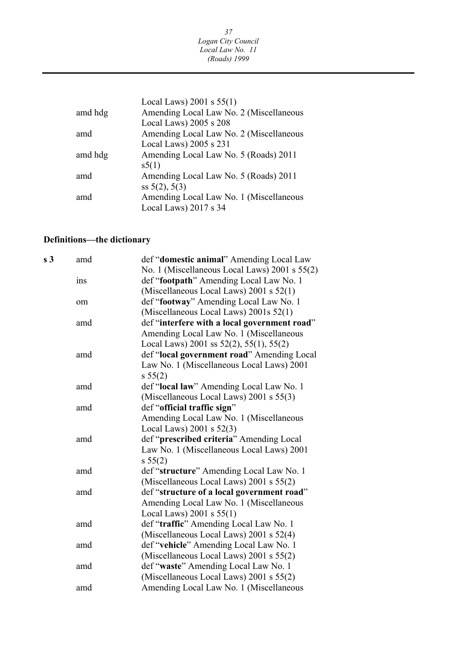|         | Local Laws) $2001$ s $55(1)$            |
|---------|-----------------------------------------|
| amd hdg | Amending Local Law No. 2 (Miscellaneous |
|         | Local Laws) 2005 s 208                  |
| amd     | Amending Local Law No. 2 (Miscellaneous |
|         | Local Laws) 2005 s 231                  |
| amd hdg | Amending Local Law No. 5 (Roads) 2011   |
|         | s5(1)                                   |
| amd     | Amending Local Law No. 5 (Roads) 2011   |
|         | ss $5(2)$ , $5(3)$                      |
| amd     | Amending Local Law No. 1 (Miscellaneous |
|         | Local Laws) 2017 s 34                   |

### **Definitions—the dictionary**

| s <sub>3</sub> | amd | def "domestic animal" Amending Local Law        |
|----------------|-----|-------------------------------------------------|
|                |     | No. 1 (Miscellaneous Local Laws) 2001 s 55(2)   |
|                | ins | def "footpath" Amending Local Law No. 1         |
|                |     | (Miscellaneous Local Laws) 2001 s 52(1)         |
|                | om  | def "footway" Amending Local Law No. 1          |
|                |     | (Miscellaneous Local Laws) 2001s 52(1)          |
|                | amd | def "interfere with a local government road"    |
|                |     | Amending Local Law No. 1 (Miscellaneous         |
|                |     | Local Laws) 2001 ss $52(2)$ , $55(1)$ , $55(2)$ |
|                | amd | def "local government road" Amending Local      |
|                |     | Law No. 1 (Miscellaneous Local Laws) 2001       |
|                |     | s 55(2)                                         |
|                | amd | def "local law" Amending Local Law No. 1        |
|                |     | (Miscellaneous Local Laws) 2001 s 55(3)         |
|                | amd | def "official traffic sign"                     |
|                |     | Amending Local Law No. 1 (Miscellaneous         |
|                |     | Local Laws) $2001$ s $52(3)$                    |
|                | amd | def "prescribed criteria" Amending Local        |
|                |     | Law No. 1 (Miscellaneous Local Laws) 2001       |
|                |     | s 55(2)                                         |
|                | amd | def "structure" Amending Local Law No. 1        |
|                |     | (Miscellaneous Local Laws) 2001 s 55(2)         |
|                | amd | def "structure of a local government road"      |
|                |     | Amending Local Law No. 1 (Miscellaneous         |
|                |     | Local Laws) $2001$ s $55(1)$                    |
|                | amd | def "traffic" Amending Local Law No. 1          |
|                |     | (Miscellaneous Local Laws) 2001 s 52(4)         |
|                | amd | def "vehicle" Amending Local Law No. 1          |
|                |     | (Miscellaneous Local Laws) 2001 s 55(2)         |
|                | amd | def "waste" Amending Local Law No. 1            |
|                |     | (Miscellaneous Local Laws) 2001 s 55(2)         |
|                | amd | Amending Local Law No. 1 (Miscellaneous         |
|                |     |                                                 |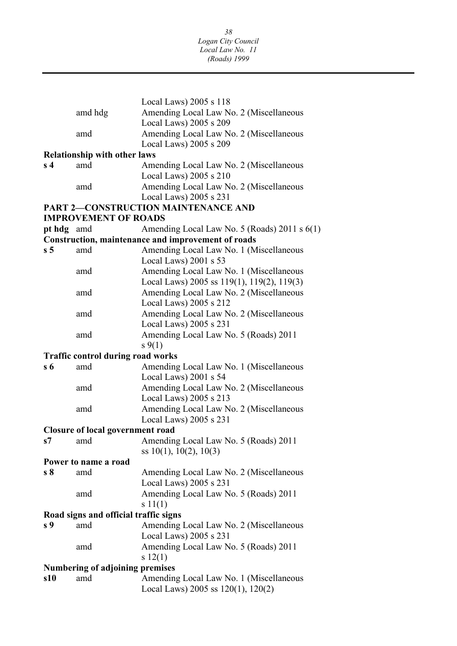|                |                                          | Local Laws) 2005 s 118                                                                |  |  |  |
|----------------|------------------------------------------|---------------------------------------------------------------------------------------|--|--|--|
|                | amd hdg                                  | Amending Local Law No. 2 (Miscellaneous                                               |  |  |  |
|                |                                          | Local Laws) 2005 s 209                                                                |  |  |  |
|                | amd                                      | Amending Local Law No. 2 (Miscellaneous                                               |  |  |  |
|                |                                          | Local Laws) 2005 s 209                                                                |  |  |  |
|                | <b>Relationship with other laws</b>      |                                                                                       |  |  |  |
| s <sub>4</sub> | amd                                      | Amending Local Law No. 2 (Miscellaneous                                               |  |  |  |
|                |                                          | Local Laws) 2005 s 210                                                                |  |  |  |
|                | amd                                      | Amending Local Law No. 2 (Miscellaneous                                               |  |  |  |
|                |                                          | Local Laws) 2005 s 231                                                                |  |  |  |
|                |                                          | <b>PART 2-CONSTRUCTION MAINTENANCE AND</b>                                            |  |  |  |
|                | <b>IMPROVEMENT OF ROADS</b>              |                                                                                       |  |  |  |
| pt hdg amd     |                                          | Amending Local Law No. 5 (Roads) 2011 s 6(1)                                          |  |  |  |
|                |                                          | <b>Construction, maintenance and improvement of roads</b>                             |  |  |  |
| s <sub>5</sub> | amd                                      | Amending Local Law No. 1 (Miscellaneous                                               |  |  |  |
|                |                                          | Local Laws) 2001 s 53                                                                 |  |  |  |
|                | amd                                      | Amending Local Law No. 1 (Miscellaneous<br>Local Laws) 2005 ss 119(1), 119(2), 119(3) |  |  |  |
|                | amd                                      | Amending Local Law No. 2 (Miscellaneous                                               |  |  |  |
|                |                                          | Local Laws) 2005 s 212                                                                |  |  |  |
|                | amd                                      | Amending Local Law No. 2 (Miscellaneous                                               |  |  |  |
|                |                                          | Local Laws) 2005 s 231                                                                |  |  |  |
|                | amd                                      | Amending Local Law No. 5 (Roads) 2011                                                 |  |  |  |
|                |                                          | $s \, 9(1)$                                                                           |  |  |  |
|                | <b>Traffic control during road works</b> |                                                                                       |  |  |  |
| $s\,6$         | amd                                      | Amending Local Law No. 1 (Miscellaneous                                               |  |  |  |
|                |                                          | Local Laws) 2001 s 54                                                                 |  |  |  |
|                | amd                                      | Amending Local Law No. 2 (Miscellaneous                                               |  |  |  |
|                |                                          | Local Laws) 2005 s 213                                                                |  |  |  |
|                | amd                                      | Amending Local Law No. 2 (Miscellaneous                                               |  |  |  |
|                |                                          | Local Laws) 2005 s 231                                                                |  |  |  |
|                | <b>Closure of local government road</b>  |                                                                                       |  |  |  |
| S7             | amd                                      | Amending Local Law No. 5 (Roads) 2011                                                 |  |  |  |
|                |                                          | ss $10(1)$ , $10(2)$ , $10(3)$                                                        |  |  |  |
|                | Power to name a road                     |                                                                                       |  |  |  |
| s <sub>8</sub> | amd                                      | Amending Local Law No. 2 (Miscellaneous                                               |  |  |  |
|                | amd                                      | Local Laws) 2005 s 231<br>Amending Local Law No. 5 (Roads) 2011                       |  |  |  |
|                |                                          | s 11(1)                                                                               |  |  |  |
|                | Road signs and official traffic signs    |                                                                                       |  |  |  |
| s <sub>9</sub> | amd                                      | Amending Local Law No. 2 (Miscellaneous                                               |  |  |  |
|                |                                          | Local Laws) 2005 s 231                                                                |  |  |  |
|                | amd                                      | Amending Local Law No. 5 (Roads) 2011                                                 |  |  |  |
|                |                                          | s 12(1)                                                                               |  |  |  |
|                | Numbering of adjoining premises          |                                                                                       |  |  |  |
| s10            | amd                                      | Amending Local Law No. 1 (Miscellaneous                                               |  |  |  |
|                |                                          | Local Laws) 2005 ss $120(1)$ , $120(2)$                                               |  |  |  |
|                |                                          |                                                                                       |  |  |  |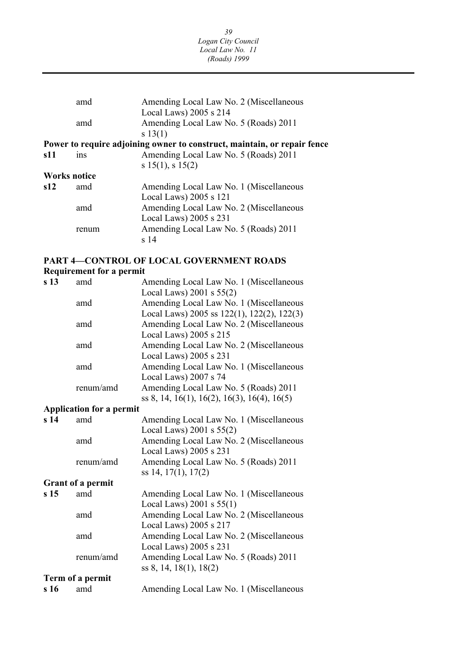| amd                 | Amending Local Law No. 2 (Miscellaneous<br>Local Laws) 2005 s 214        |
|---------------------|--------------------------------------------------------------------------|
| amd                 | Amending Local Law No. 5 (Roads) 2011<br>s 13(1)                         |
|                     | Power to require adjoining owner to construct, maintain, or repair fence |
| ins                 | Amending Local Law No. 5 (Roads) 2011<br>s $15(1)$ , s $15(2)$           |
| <b>Works notice</b> |                                                                          |
| amd                 | Amending Local Law No. 1 (Miscellaneous<br>Local Laws) $2005 s 121$      |
| amd                 | Amending Local Law No. 2 (Miscellaneous<br>Local Laws) $2005$ s $231$    |
| renum               | Amending Local Law No. 5 (Roads) 2011<br>$\rm s$ 14                      |
|                     |                                                                          |

### **PART 4—CONTROL OF LOCAL GOVERNMENT ROADS**

#### **Requirement for a permit**

| s <sub>13</sub> | amd                             | Amending Local Law No. 1 (Miscellaneous     |
|-----------------|---------------------------------|---------------------------------------------|
|                 |                                 | Local Laws) $2001$ s $55(2)$                |
|                 | amd                             | Amending Local Law No. 1 (Miscellaneous     |
|                 |                                 | Local Laws) 2005 ss 122(1), 122(2), 122(3)  |
|                 | amd                             | Amending Local Law No. 2 (Miscellaneous     |
|                 |                                 | Local Laws) 2005 s 215                      |
|                 | amd                             | Amending Local Law No. 2 (Miscellaneous     |
|                 |                                 | Local Laws) 2005 s 231                      |
|                 | amd                             | Amending Local Law No. 1 (Miscellaneous     |
|                 |                                 | Local Laws) 2007 s 74                       |
|                 | renum/amd                       | Amending Local Law No. 5 (Roads) 2011       |
|                 |                                 | ss 8, 14, 16(1), 16(2), 16(3), 16(4), 16(5) |
|                 | <b>Application for a permit</b> |                                             |
| s <sub>14</sub> | amd                             | Amending Local Law No. 1 (Miscellaneous     |
|                 |                                 | Local Laws) $2001$ s $55(2)$                |
|                 | amd                             | Amending Local Law No. 2 (Miscellaneous     |
|                 |                                 | Local Laws) 2005 s 231                      |
|                 | renum/amd                       | Amending Local Law No. 5 (Roads) 2011       |
|                 |                                 | ss 14, 17(1), 17(2)                         |
|                 | <b>Grant of a permit</b>        |                                             |
| s <sub>15</sub> | amd                             | Amending Local Law No. 1 (Miscellaneous     |
|                 |                                 | Local Laws) $2001$ s $55(1)$                |
|                 | amd                             | Amending Local Law No. 2 (Miscellaneous     |
|                 |                                 | Local Laws) 2005 s 217                      |
|                 | amd                             | Amending Local Law No. 2 (Miscellaneous     |
|                 |                                 | Local Laws) 2005 s 231                      |
|                 | renum/amd                       | Amending Local Law No. 5 (Roads) 2011       |
|                 |                                 | ss 8, 14, 18(1), 18(2)                      |
|                 | Term of a permit                |                                             |
| s 16            | amd                             | Amending Local Law No. 1 (Miscellaneous     |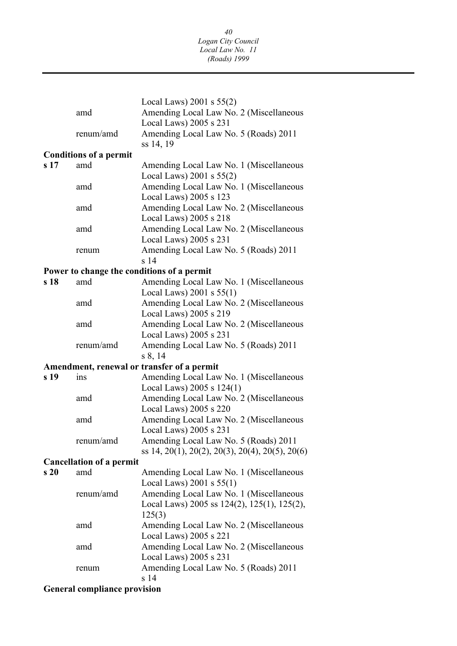*40 Logan City Council Local Law No. 11 (Roads) 1999* 

| ss 14, 19<br><b>Conditions of a permit</b><br>s <sub>17</sub><br>amd<br>Amending Local Law No. 1 (Miscellaneous<br>Local Laws) $2001$ s $55(2)$<br>Amending Local Law No. 1 (Miscellaneous<br>amd<br>Local Laws) 2005 s 123<br>Amending Local Law No. 2 (Miscellaneous<br>amd<br>Local Laws) 2005 s 218<br>Amending Local Law No. 2 (Miscellaneous<br>amd<br>Local Laws) 2005 s 231<br>Amending Local Law No. 5 (Roads) 2011<br>renum<br>s <sub>14</sub><br>Power to change the conditions of a permit<br>Amending Local Law No. 1 (Miscellaneous<br>s 18<br>amd<br>Local Laws) $2001$ s $55(1)$<br>Amending Local Law No. 2 (Miscellaneous<br>amd<br>Local Laws) 2005 s 219<br>Amending Local Law No. 2 (Miscellaneous<br>amd<br>Local Laws) 2005 s 231<br>Amending Local Law No. 5 (Roads) 2011<br>renum/amd<br>s 8, 14<br>Amendment, renewal or transfer of a permit<br>Amending Local Law No. 1 (Miscellaneous<br>s 19<br>ins<br>Local Laws) $2005 s 124(1)$<br>Amending Local Law No. 2 (Miscellaneous<br>amd<br>Local Laws) 2005 s 220<br>Amending Local Law No. 2 (Miscellaneous<br>amd<br>Local Laws) 2005 s 231<br>renum/amd<br>Amending Local Law No. 5 (Roads) 2011<br>ss 14, 20(1), 20(2), 20(3), 20(4), 20(5), 20(6)<br><b>Cancellation of a permit</b><br>s <sub>20</sub><br>Amending Local Law No. 1 (Miscellaneous<br>amd<br>Local Laws) $2001$ s $55(1)$<br>Amending Local Law No. 1 (Miscellaneous<br>renum/amd<br>Local Laws) 2005 ss 124(2), 125(1), 125(2),<br>125(3)<br>Amending Local Law No. 2 (Miscellaneous<br>amd<br>Local Laws) 2005 s 221<br>Amending Local Law No. 2 (Miscellaneous<br>amd<br>Local Laws) 2005 s 231<br>Amending Local Law No. 5 (Roads) 2011<br>renum<br>s 14<br><b>General compliance provision</b> | amd       | Local Laws) $2001$ s $55(2)$<br>Amending Local Law No. 2 (Miscellaneous<br>Local Laws) 2005 s 231 |
|-----------------------------------------------------------------------------------------------------------------------------------------------------------------------------------------------------------------------------------------------------------------------------------------------------------------------------------------------------------------------------------------------------------------------------------------------------------------------------------------------------------------------------------------------------------------------------------------------------------------------------------------------------------------------------------------------------------------------------------------------------------------------------------------------------------------------------------------------------------------------------------------------------------------------------------------------------------------------------------------------------------------------------------------------------------------------------------------------------------------------------------------------------------------------------------------------------------------------------------------------------------------------------------------------------------------------------------------------------------------------------------------------------------------------------------------------------------------------------------------------------------------------------------------------------------------------------------------------------------------------------------------------------------------------------------------------------------------------------------------------------|-----------|---------------------------------------------------------------------------------------------------|
|                                                                                                                                                                                                                                                                                                                                                                                                                                                                                                                                                                                                                                                                                                                                                                                                                                                                                                                                                                                                                                                                                                                                                                                                                                                                                                                                                                                                                                                                                                                                                                                                                                                                                                                                                     | renum/amd | Amending Local Law No. 5 (Roads) 2011                                                             |
|                                                                                                                                                                                                                                                                                                                                                                                                                                                                                                                                                                                                                                                                                                                                                                                                                                                                                                                                                                                                                                                                                                                                                                                                                                                                                                                                                                                                                                                                                                                                                                                                                                                                                                                                                     |           |                                                                                                   |
|                                                                                                                                                                                                                                                                                                                                                                                                                                                                                                                                                                                                                                                                                                                                                                                                                                                                                                                                                                                                                                                                                                                                                                                                                                                                                                                                                                                                                                                                                                                                                                                                                                                                                                                                                     |           |                                                                                                   |
|                                                                                                                                                                                                                                                                                                                                                                                                                                                                                                                                                                                                                                                                                                                                                                                                                                                                                                                                                                                                                                                                                                                                                                                                                                                                                                                                                                                                                                                                                                                                                                                                                                                                                                                                                     |           |                                                                                                   |
|                                                                                                                                                                                                                                                                                                                                                                                                                                                                                                                                                                                                                                                                                                                                                                                                                                                                                                                                                                                                                                                                                                                                                                                                                                                                                                                                                                                                                                                                                                                                                                                                                                                                                                                                                     |           |                                                                                                   |
|                                                                                                                                                                                                                                                                                                                                                                                                                                                                                                                                                                                                                                                                                                                                                                                                                                                                                                                                                                                                                                                                                                                                                                                                                                                                                                                                                                                                                                                                                                                                                                                                                                                                                                                                                     |           |                                                                                                   |
|                                                                                                                                                                                                                                                                                                                                                                                                                                                                                                                                                                                                                                                                                                                                                                                                                                                                                                                                                                                                                                                                                                                                                                                                                                                                                                                                                                                                                                                                                                                                                                                                                                                                                                                                                     |           |                                                                                                   |
|                                                                                                                                                                                                                                                                                                                                                                                                                                                                                                                                                                                                                                                                                                                                                                                                                                                                                                                                                                                                                                                                                                                                                                                                                                                                                                                                                                                                                                                                                                                                                                                                                                                                                                                                                     |           |                                                                                                   |
|                                                                                                                                                                                                                                                                                                                                                                                                                                                                                                                                                                                                                                                                                                                                                                                                                                                                                                                                                                                                                                                                                                                                                                                                                                                                                                                                                                                                                                                                                                                                                                                                                                                                                                                                                     |           |                                                                                                   |
|                                                                                                                                                                                                                                                                                                                                                                                                                                                                                                                                                                                                                                                                                                                                                                                                                                                                                                                                                                                                                                                                                                                                                                                                                                                                                                                                                                                                                                                                                                                                                                                                                                                                                                                                                     |           |                                                                                                   |
|                                                                                                                                                                                                                                                                                                                                                                                                                                                                                                                                                                                                                                                                                                                                                                                                                                                                                                                                                                                                                                                                                                                                                                                                                                                                                                                                                                                                                                                                                                                                                                                                                                                                                                                                                     |           |                                                                                                   |
|                                                                                                                                                                                                                                                                                                                                                                                                                                                                                                                                                                                                                                                                                                                                                                                                                                                                                                                                                                                                                                                                                                                                                                                                                                                                                                                                                                                                                                                                                                                                                                                                                                                                                                                                                     |           |                                                                                                   |
|                                                                                                                                                                                                                                                                                                                                                                                                                                                                                                                                                                                                                                                                                                                                                                                                                                                                                                                                                                                                                                                                                                                                                                                                                                                                                                                                                                                                                                                                                                                                                                                                                                                                                                                                                     |           |                                                                                                   |
|                                                                                                                                                                                                                                                                                                                                                                                                                                                                                                                                                                                                                                                                                                                                                                                                                                                                                                                                                                                                                                                                                                                                                                                                                                                                                                                                                                                                                                                                                                                                                                                                                                                                                                                                                     |           |                                                                                                   |
|                                                                                                                                                                                                                                                                                                                                                                                                                                                                                                                                                                                                                                                                                                                                                                                                                                                                                                                                                                                                                                                                                                                                                                                                                                                                                                                                                                                                                                                                                                                                                                                                                                                                                                                                                     |           |                                                                                                   |
|                                                                                                                                                                                                                                                                                                                                                                                                                                                                                                                                                                                                                                                                                                                                                                                                                                                                                                                                                                                                                                                                                                                                                                                                                                                                                                                                                                                                                                                                                                                                                                                                                                                                                                                                                     |           |                                                                                                   |
|                                                                                                                                                                                                                                                                                                                                                                                                                                                                                                                                                                                                                                                                                                                                                                                                                                                                                                                                                                                                                                                                                                                                                                                                                                                                                                                                                                                                                                                                                                                                                                                                                                                                                                                                                     |           |                                                                                                   |
|                                                                                                                                                                                                                                                                                                                                                                                                                                                                                                                                                                                                                                                                                                                                                                                                                                                                                                                                                                                                                                                                                                                                                                                                                                                                                                                                                                                                                                                                                                                                                                                                                                                                                                                                                     |           |                                                                                                   |
|                                                                                                                                                                                                                                                                                                                                                                                                                                                                                                                                                                                                                                                                                                                                                                                                                                                                                                                                                                                                                                                                                                                                                                                                                                                                                                                                                                                                                                                                                                                                                                                                                                                                                                                                                     |           |                                                                                                   |
|                                                                                                                                                                                                                                                                                                                                                                                                                                                                                                                                                                                                                                                                                                                                                                                                                                                                                                                                                                                                                                                                                                                                                                                                                                                                                                                                                                                                                                                                                                                                                                                                                                                                                                                                                     |           |                                                                                                   |
|                                                                                                                                                                                                                                                                                                                                                                                                                                                                                                                                                                                                                                                                                                                                                                                                                                                                                                                                                                                                                                                                                                                                                                                                                                                                                                                                                                                                                                                                                                                                                                                                                                                                                                                                                     |           |                                                                                                   |
|                                                                                                                                                                                                                                                                                                                                                                                                                                                                                                                                                                                                                                                                                                                                                                                                                                                                                                                                                                                                                                                                                                                                                                                                                                                                                                                                                                                                                                                                                                                                                                                                                                                                                                                                                     |           |                                                                                                   |
|                                                                                                                                                                                                                                                                                                                                                                                                                                                                                                                                                                                                                                                                                                                                                                                                                                                                                                                                                                                                                                                                                                                                                                                                                                                                                                                                                                                                                                                                                                                                                                                                                                                                                                                                                     |           |                                                                                                   |
|                                                                                                                                                                                                                                                                                                                                                                                                                                                                                                                                                                                                                                                                                                                                                                                                                                                                                                                                                                                                                                                                                                                                                                                                                                                                                                                                                                                                                                                                                                                                                                                                                                                                                                                                                     |           |                                                                                                   |
|                                                                                                                                                                                                                                                                                                                                                                                                                                                                                                                                                                                                                                                                                                                                                                                                                                                                                                                                                                                                                                                                                                                                                                                                                                                                                                                                                                                                                                                                                                                                                                                                                                                                                                                                                     |           |                                                                                                   |
|                                                                                                                                                                                                                                                                                                                                                                                                                                                                                                                                                                                                                                                                                                                                                                                                                                                                                                                                                                                                                                                                                                                                                                                                                                                                                                                                                                                                                                                                                                                                                                                                                                                                                                                                                     |           |                                                                                                   |
|                                                                                                                                                                                                                                                                                                                                                                                                                                                                                                                                                                                                                                                                                                                                                                                                                                                                                                                                                                                                                                                                                                                                                                                                                                                                                                                                                                                                                                                                                                                                                                                                                                                                                                                                                     |           |                                                                                                   |
|                                                                                                                                                                                                                                                                                                                                                                                                                                                                                                                                                                                                                                                                                                                                                                                                                                                                                                                                                                                                                                                                                                                                                                                                                                                                                                                                                                                                                                                                                                                                                                                                                                                                                                                                                     |           |                                                                                                   |
|                                                                                                                                                                                                                                                                                                                                                                                                                                                                                                                                                                                                                                                                                                                                                                                                                                                                                                                                                                                                                                                                                                                                                                                                                                                                                                                                                                                                                                                                                                                                                                                                                                                                                                                                                     |           |                                                                                                   |
|                                                                                                                                                                                                                                                                                                                                                                                                                                                                                                                                                                                                                                                                                                                                                                                                                                                                                                                                                                                                                                                                                                                                                                                                                                                                                                                                                                                                                                                                                                                                                                                                                                                                                                                                                     |           |                                                                                                   |
|                                                                                                                                                                                                                                                                                                                                                                                                                                                                                                                                                                                                                                                                                                                                                                                                                                                                                                                                                                                                                                                                                                                                                                                                                                                                                                                                                                                                                                                                                                                                                                                                                                                                                                                                                     |           |                                                                                                   |
|                                                                                                                                                                                                                                                                                                                                                                                                                                                                                                                                                                                                                                                                                                                                                                                                                                                                                                                                                                                                                                                                                                                                                                                                                                                                                                                                                                                                                                                                                                                                                                                                                                                                                                                                                     |           |                                                                                                   |
|                                                                                                                                                                                                                                                                                                                                                                                                                                                                                                                                                                                                                                                                                                                                                                                                                                                                                                                                                                                                                                                                                                                                                                                                                                                                                                                                                                                                                                                                                                                                                                                                                                                                                                                                                     |           |                                                                                                   |
|                                                                                                                                                                                                                                                                                                                                                                                                                                                                                                                                                                                                                                                                                                                                                                                                                                                                                                                                                                                                                                                                                                                                                                                                                                                                                                                                                                                                                                                                                                                                                                                                                                                                                                                                                     |           |                                                                                                   |
|                                                                                                                                                                                                                                                                                                                                                                                                                                                                                                                                                                                                                                                                                                                                                                                                                                                                                                                                                                                                                                                                                                                                                                                                                                                                                                                                                                                                                                                                                                                                                                                                                                                                                                                                                     |           |                                                                                                   |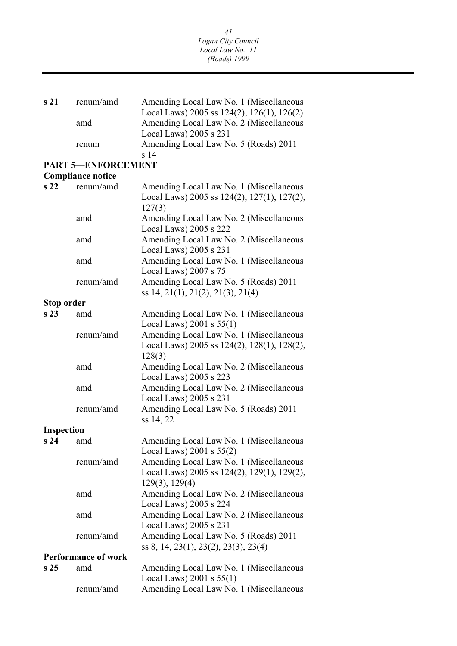| s 21                       | renum/amd                 | Amending Local Law No. 1 (Miscellaneous               |  |  |
|----------------------------|---------------------------|-------------------------------------------------------|--|--|
|                            |                           | Local Laws) 2005 ss $124(2)$ , $126(1)$ , $126(2)$    |  |  |
|                            | amd                       | Amending Local Law No. 2 (Miscellaneous               |  |  |
|                            |                           | Local Laws) 2005 s 231                                |  |  |
|                            | renum                     | Amending Local Law No. 5 (Roads) 2011                 |  |  |
|                            |                           | s 14                                                  |  |  |
|                            | <b>PART 5-ENFORCEMENT</b> |                                                       |  |  |
|                            | <b>Compliance notice</b>  |                                                       |  |  |
| s22                        | renum/amd                 | Amending Local Law No. 1 (Miscellaneous               |  |  |
|                            |                           | Local Laws) 2005 ss 124(2), 127(1), 127(2),<br>127(3) |  |  |
|                            | amd                       | Amending Local Law No. 2 (Miscellaneous               |  |  |
|                            |                           | Local Laws) 2005 s 222                                |  |  |
|                            | amd                       | Amending Local Law No. 2 (Miscellaneous               |  |  |
|                            |                           | Local Laws) 2005 s 231                                |  |  |
|                            | amd                       | Amending Local Law No. 1 (Miscellaneous               |  |  |
|                            |                           | Local Laws) 2007 s 75                                 |  |  |
|                            | renum/amd                 |                                                       |  |  |
|                            |                           | Amending Local Law No. 5 (Roads) 2011                 |  |  |
|                            |                           | ss 14, 21(1), 21(2), 21(3), 21(4)                     |  |  |
| Stop order                 |                           |                                                       |  |  |
| s <sub>23</sub>            | amd                       | Amending Local Law No. 1 (Miscellaneous               |  |  |
|                            |                           | Local Laws) $2001$ s $55(1)$                          |  |  |
|                            | renum/amd                 | Amending Local Law No. 1 (Miscellaneous               |  |  |
|                            |                           | Local Laws) 2005 ss 124(2), 128(1), 128(2),           |  |  |
|                            |                           | 128(3)                                                |  |  |
|                            | amd                       | Amending Local Law No. 2 (Miscellaneous               |  |  |
|                            |                           | Local Laws) 2005 s 223                                |  |  |
|                            | amd                       | Amending Local Law No. 2 (Miscellaneous               |  |  |
|                            |                           | Local Laws) 2005 s 231                                |  |  |
|                            | renum/amd                 | Amending Local Law No. 5 (Roads) 2011                 |  |  |
|                            |                           | ss 14, 22                                             |  |  |
| <b>Inspection</b>          |                           |                                                       |  |  |
| $s24$ amd                  |                           | Amending Local Law No. 1 (Miscellaneous               |  |  |
|                            |                           | Local Laws) $2001$ s $55(2)$                          |  |  |
|                            | renum/amd                 | Amending Local Law No. 1 (Miscellaneous               |  |  |
|                            |                           | Local Laws) 2005 ss 124(2), 129(1), 129(2),           |  |  |
|                            |                           | 129(3), 129(4)                                        |  |  |
|                            | amd                       | Amending Local Law No. 2 (Miscellaneous               |  |  |
|                            |                           | Local Laws) 2005 s 224                                |  |  |
|                            |                           | Amending Local Law No. 2 (Miscellaneous               |  |  |
|                            | amd                       |                                                       |  |  |
|                            |                           | Local Laws) 2005 s 231                                |  |  |
|                            | renum/amd                 | Amending Local Law No. 5 (Roads) 2011                 |  |  |
|                            |                           | ss 8, 14, 23(1), 23(2), 23(3), 23(4)                  |  |  |
| <b>Performance of work</b> |                           |                                                       |  |  |
| s <sub>25</sub>            | amd                       | Amending Local Law No. 1 (Miscellaneous               |  |  |
|                            |                           | Local Laws) $2001$ s $55(1)$                          |  |  |
|                            | renum/amd                 | Amending Local Law No. 1 (Miscellaneous               |  |  |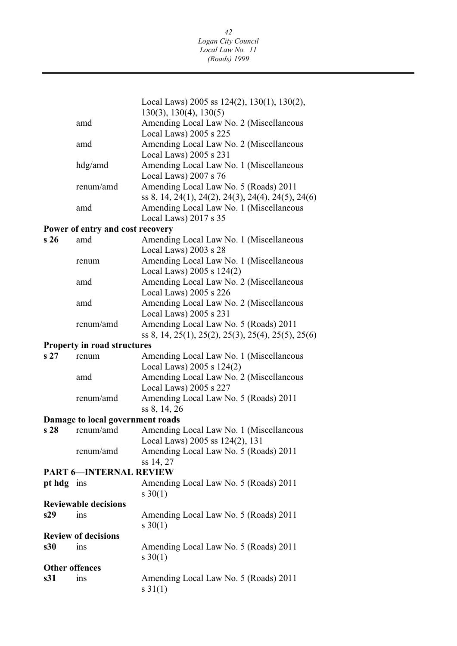| Local Laws) 2005 ss $124(2)$ , $130(1)$ , $130(2)$ ,<br>$130(3)$ , $130(4)$ , $130(5)$<br>Amending Local Law No. 2 (Miscellaneous<br>amd<br>Local Laws) 2005 s 225<br>Amending Local Law No. 2 (Miscellaneous<br>amd |  |  |  |  |
|----------------------------------------------------------------------------------------------------------------------------------------------------------------------------------------------------------------------|--|--|--|--|
|                                                                                                                                                                                                                      |  |  |  |  |
|                                                                                                                                                                                                                      |  |  |  |  |
|                                                                                                                                                                                                                      |  |  |  |  |
| Local Laws) 2005 s 231<br>Amending Local Law No. 1 (Miscellaneous<br>hdg/amd<br>Local Laws) 2007 s 76                                                                                                                |  |  |  |  |
| Amending Local Law No. 5 (Roads) 2011<br>renum/amd<br>ss 8, 14, 24(1), 24(2), 24(3), 24(4), 24(5), 24(6)                                                                                                             |  |  |  |  |
| Amending Local Law No. 1 (Miscellaneous<br>amd<br>Local Laws) 2017 s 35                                                                                                                                              |  |  |  |  |
| Power of entry and cost recovery                                                                                                                                                                                     |  |  |  |  |
| s 26<br>Amending Local Law No. 1 (Miscellaneous<br>amd<br>Local Laws) 2003 s 28                                                                                                                                      |  |  |  |  |
| Amending Local Law No. 1 (Miscellaneous<br>renum<br>Local Laws) 2005 s 124(2)                                                                                                                                        |  |  |  |  |
| Amending Local Law No. 2 (Miscellaneous<br>amd<br>Local Laws) 2005 s 226                                                                                                                                             |  |  |  |  |
| Amending Local Law No. 2 (Miscellaneous<br>amd<br>Local Laws) 2005 s 231                                                                                                                                             |  |  |  |  |
| Amending Local Law No. 5 (Roads) 2011<br>renum/amd<br>ss 8, 14, 25(1), 25(2), 25(3), 25(4), 25(5), 25(6)                                                                                                             |  |  |  |  |
| <b>Property in road structures</b>                                                                                                                                                                                   |  |  |  |  |
| s27<br>Amending Local Law No. 1 (Miscellaneous<br>renum<br>Local Laws) 2005 s 124(2)                                                                                                                                 |  |  |  |  |
| Amending Local Law No. 2 (Miscellaneous<br>amd<br>Local Laws) 2005 s 227                                                                                                                                             |  |  |  |  |
| Amending Local Law No. 5 (Roads) 2011<br>renum/amd<br>ss 8, 14, 26                                                                                                                                                   |  |  |  |  |
| Damage to local government roads                                                                                                                                                                                     |  |  |  |  |
| Amending Local Law No. 1 (Miscellaneous<br>s 28<br>renum/amd<br>Local Laws) 2005 ss 124(2), 131                                                                                                                      |  |  |  |  |
| Amending Local Law No. 5 (Roads) 2011<br>renum/amd<br>ss 14, 27                                                                                                                                                      |  |  |  |  |
| PART 6—INTERNAL REVIEW                                                                                                                                                                                               |  |  |  |  |
| Amending Local Law No. 5 (Roads) 2011<br>pt hdg ins<br>$s \ 30(1)$                                                                                                                                                   |  |  |  |  |
| <b>Reviewable decisions</b>                                                                                                                                                                                          |  |  |  |  |
| s29<br>Amending Local Law No. 5 (Roads) 2011<br>ins<br>$s \ 30(1)$                                                                                                                                                   |  |  |  |  |
| <b>Review of decisions</b>                                                                                                                                                                                           |  |  |  |  |
| s30<br>Amending Local Law No. 5 (Roads) 2011<br>ins<br>$s \ 30(1)$                                                                                                                                                   |  |  |  |  |
| <b>Other offences</b>                                                                                                                                                                                                |  |  |  |  |
| s31<br>Amending Local Law No. 5 (Roads) 2011<br>1 <sub>ns</sub><br>$s \ 31(1)$                                                                                                                                       |  |  |  |  |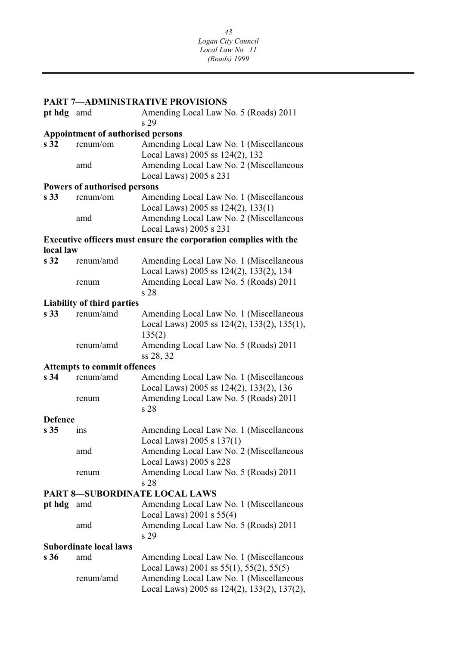| <b>PART 7-ADMINISTRATIVE PROVISIONS</b> |                                          |                                                                                                                                                                                      |  |  |  |  |
|-----------------------------------------|------------------------------------------|--------------------------------------------------------------------------------------------------------------------------------------------------------------------------------------|--|--|--|--|
| pt hdg amd                              |                                          | Amending Local Law No. 5 (Roads) 2011<br>s 29                                                                                                                                        |  |  |  |  |
|                                         | <b>Appointment of authorised persons</b> |                                                                                                                                                                                      |  |  |  |  |
| s <sub>32</sub>                         | renum/om                                 | Amending Local Law No. 1 (Miscellaneous<br>Local Laws) 2005 ss 124(2), 132                                                                                                           |  |  |  |  |
|                                         | amd                                      | Amending Local Law No. 2 (Miscellaneous<br>Local Laws) 2005 s 231                                                                                                                    |  |  |  |  |
|                                         | <b>Powers of authorised persons</b>      |                                                                                                                                                                                      |  |  |  |  |
| s <sub>33</sub>                         | renum/om                                 | Amending Local Law No. 1 (Miscellaneous                                                                                                                                              |  |  |  |  |
|                                         |                                          | Local Laws) 2005 ss 124(2), 133(1)                                                                                                                                                   |  |  |  |  |
|                                         | amd                                      | Amending Local Law No. 2 (Miscellaneous                                                                                                                                              |  |  |  |  |
|                                         |                                          | Local Laws) 2005 s 231                                                                                                                                                               |  |  |  |  |
|                                         |                                          | Executive officers must ensure the corporation complies with the                                                                                                                     |  |  |  |  |
| local law                               |                                          |                                                                                                                                                                                      |  |  |  |  |
| s <sub>32</sub>                         | renum/amd                                | Amending Local Law No. 1 (Miscellaneous<br>Local Laws) 2005 ss 124(2), 133(2), 134                                                                                                   |  |  |  |  |
|                                         | renum                                    | Amending Local Law No. 5 (Roads) 2011<br>s 28                                                                                                                                        |  |  |  |  |
|                                         | <b>Liability of third parties</b>        |                                                                                                                                                                                      |  |  |  |  |
| s <sub>33</sub>                         | renum/amd                                | Amending Local Law No. 1 (Miscellaneous<br>Local Laws) 2005 ss $124(2)$ , $133(2)$ , $135(1)$ ,<br>135(2)                                                                            |  |  |  |  |
|                                         | renum/amd                                | Amending Local Law No. 5 (Roads) 2011<br>ss 28, 32                                                                                                                                   |  |  |  |  |
|                                         | <b>Attempts to commit offences</b>       |                                                                                                                                                                                      |  |  |  |  |
| s <sub>34</sub>                         | renum/amd                                | Amending Local Law No. 1 (Miscellaneous<br>Local Laws) 2005 ss 124(2), 133(2), 136                                                                                                   |  |  |  |  |
|                                         | renum                                    | Amending Local Law No. 5 (Roads) 2011<br>s <sub>28</sub>                                                                                                                             |  |  |  |  |
| <b>Defence</b>                          |                                          |                                                                                                                                                                                      |  |  |  |  |
| s <sub>35</sub>                         | 1 <sub>ns</sub>                          | Amending Local Law No. 1 (Miscellaneous<br>Local Laws) $2005 s 137(1)$                                                                                                               |  |  |  |  |
|                                         | amd                                      | Amending Local Law No. 2 (Miscellaneous<br>Local Laws) 2005 s 228                                                                                                                    |  |  |  |  |
|                                         | renum                                    | Amending Local Law No. 5 (Roads) 2011<br>s 28                                                                                                                                        |  |  |  |  |
|                                         |                                          | <b>PART 8-SUBORDINATE LOCAL LAWS</b>                                                                                                                                                 |  |  |  |  |
| pt hdg amd                              |                                          | Amending Local Law No. 1 (Miscellaneous                                                                                                                                              |  |  |  |  |
|                                         | amd                                      | Local Laws) $2001$ s $55(4)$<br>Amending Local Law No. 5 (Roads) 2011                                                                                                                |  |  |  |  |
|                                         | s 29<br><b>Subordinate local laws</b>    |                                                                                                                                                                                      |  |  |  |  |
| s <sub>36</sub>                         |                                          |                                                                                                                                                                                      |  |  |  |  |
|                                         | amd<br>renum/amd                         | Amending Local Law No. 1 (Miscellaneous<br>Local Laws) 2001 ss $55(1)$ , $55(2)$ , $55(5)$<br>Amending Local Law No. 1 (Miscellaneous<br>Local Laws) 2005 ss 124(2), 133(2), 137(2), |  |  |  |  |
|                                         |                                          |                                                                                                                                                                                      |  |  |  |  |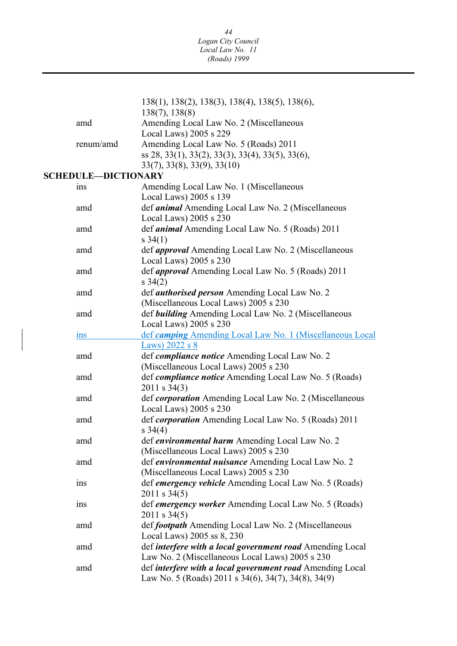|                            | 138(1), 138(2), 138(3), 138(4), 138(5), 138(6),                |
|----------------------------|----------------------------------------------------------------|
|                            | 138(7), 138(8)                                                 |
| amd                        | Amending Local Law No. 2 (Miscellaneous                        |
|                            | Local Laws) 2005 s 229                                         |
| renum/amd                  | Amending Local Law No. 5 (Roads) 2011                          |
|                            | ss 28, 33(1), 33(2), 33(3), 33(4), 33(5), 33(6),               |
|                            | 33(7), 33(8), 33(9), 33(10)                                    |
| <b>SCHEDULE-DICTIONARY</b> |                                                                |
| ins                        | Amending Local Law No. 1 (Miscellaneous                        |
|                            | Local Laws) 2005 s 139                                         |
| amd                        | def <i>animal</i> Amending Local Law No. 2 (Miscellaneous      |
|                            | Local Laws) 2005 s 230                                         |
| amd                        | def <i>animal</i> Amending Local Law No. 5 (Roads) 2011        |
|                            | $s \; 34(1)$                                                   |
| amd                        | def <i>approval</i> Amending Local Law No. 2 (Miscellaneous    |
|                            | Local Laws) 2005 s 230                                         |
| amd                        | def <i>approval</i> Amending Local Law No. 5 (Roads) 2011      |
|                            | $s \; 34(2)$                                                   |
| amd                        | def <i>authorised person</i> Amending Local Law No. 2          |
|                            | (Miscellaneous Local Laws) 2005 s 230                          |
| amd                        | def building Amending Local Law No. 2 (Miscellaneous           |
|                            | Local Laws) 2005 s 230                                         |
| ins                        | def camping Amending Local Law No. 1 (Miscellaneous Local      |
|                            | Laws) $2022$ s $8$                                             |
| amd                        | def compliance notice Amending Local Law No. 2                 |
|                            | (Miscellaneous Local Laws) 2005 s 230                          |
| amd                        | def <i>compliance notice</i> Amending Local Law No. 5 (Roads)  |
|                            | $2011$ s 34(3)                                                 |
| amd                        | def <i>corporation</i> Amending Local Law No. 2 (Miscellaneous |
|                            | Local Laws) 2005 s 230                                         |
| amd                        | def corporation Amending Local Law No. 5 (Roads) 2011          |
|                            | $s \; 34(4)$                                                   |
| amd                        | def environmental harm Amending Local Law No. 2                |
|                            | (Miscellaneous Local Laws) 2005 s 230                          |
| amd                        | def environmental nuisance Amending Local Law No. 2            |
|                            | (Miscellaneous Local Laws) 2005 s 230                          |
| ins                        | def <i>emergency vehicle</i> Amending Local Law No. 5 (Roads)  |
|                            | $2011$ s 34(5)                                                 |
| ins                        | def emergency worker Amending Local Law No. 5 (Roads)          |
|                            | 2011 s 34(5)                                                   |
| amd                        | def <i>footpath</i> Amending Local Law No. 2 (Miscellaneous    |
|                            | Local Laws) 2005 ss 8, 230                                     |
| amd                        | def interfere with a local government road Amending Local      |
|                            | Law No. 2 (Miscellaneous Local Laws) 2005 s 230                |
| amd                        | def interfere with a local government road Amending Local      |
|                            | Law No. 5 (Roads) 2011 s 34(6), 34(7), 34(8), 34(9)            |
|                            |                                                                |